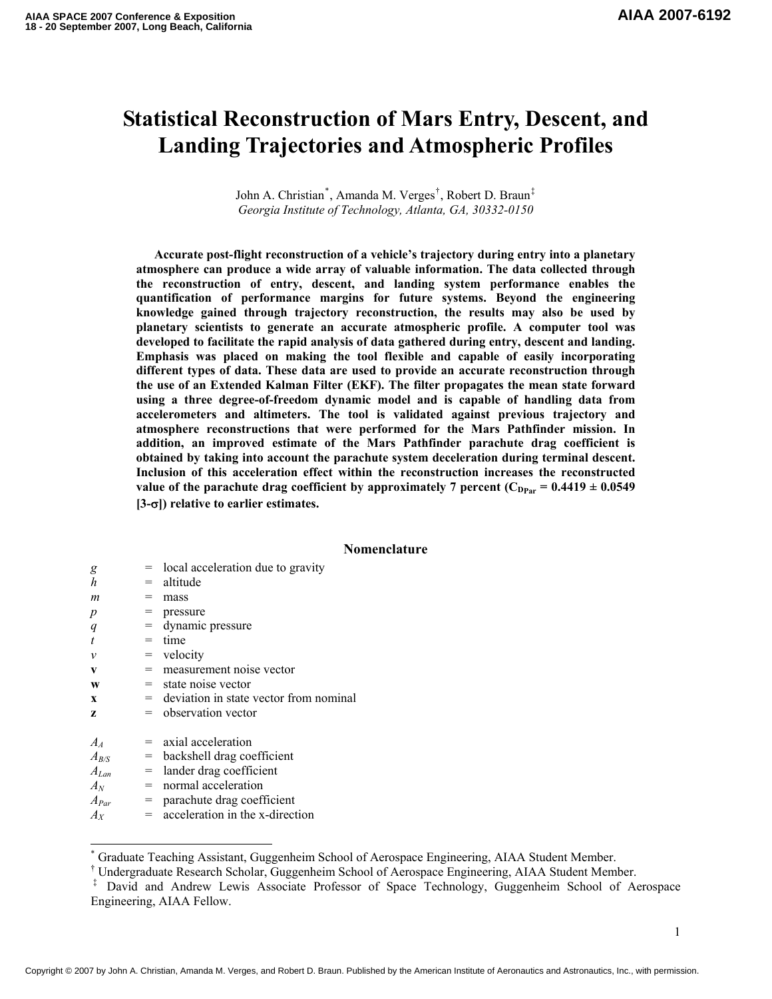# **Statistical Reconstruction of Mars Entry, Descent, and Landing Trajectories and Atmospheric Profiles**

John A. Christian[\\*](#page-0-0) , Amanda M. Verges[†](#page-0-1) , Robert D. Braun[‡](#page-0-2) *Georgia Institute of Technology, Atlanta, GA, 30332-0150* 

**Accurate post-flight reconstruction of a vehicle's trajectory during entry into a planetary atmosphere can produce a wide array of valuable information. The data collected through the reconstruction of entry, descent, and landing system performance enables the quantification of performance margins for future systems. Beyond the engineering knowledge gained through trajectory reconstruction, the results may also be used by planetary scientists to generate an accurate atmospheric profile. A computer tool was developed to facilitate the rapid analysis of data gathered during entry, descent and landing. Emphasis was placed on making the tool flexible and capable of easily incorporating different types of data. These data are used to provide an accurate reconstruction through the use of an Extended Kalman Filter (EKF). The filter propagates the mean state forward using a three degree-of-freedom dynamic model and is capable of handling data from accelerometers and altimeters. The tool is validated against previous trajectory and atmosphere reconstructions that were performed for the Mars Pathfinder mission. In addition, an improved estimate of the Mars Pathfinder parachute drag coefficient is obtained by taking into account the parachute system deceleration during terminal descent. Inclusion of this acceleration effect within the reconstruction increases the reconstructed**  value of the parachute drag coefficient by approximately 7 percent ( $C_{DPar} = 0.4419 \pm 0.0549$ ) **[3-**σ**]) relative to earlier estimates.** 

## **Nomenclature**

| g                |     | local acceleration due to gravity          |
|------------------|-----|--------------------------------------------|
| h                | $=$ | altitude                                   |
| m                | $=$ | mass                                       |
| $\boldsymbol{p}$ | $=$ | pressure                                   |
| $\boldsymbol{q}$ | $=$ | dynamic pressure                           |
| t                | $=$ | time                                       |
| ν                | $=$ | velocity                                   |
| V                | $=$ | measurement noise vector                   |
| W                | $=$ | state noise vector                         |
| X                |     | $=$ deviation in state vector from nominal |
| Z                |     | $=$ observation vector                     |
| $A_{A}$          | $=$ | axial acceleration                         |
| $A_{R/S}$        | $=$ | backshell drag coefficient                 |
| $A_{Lan}$        | $=$ | lander drag coefficient                    |
| $A_N$            | $=$ | normal acceleration                        |
| $A_{Par}$        | =   | parachute drag coefficient                 |
| $A_Y$            | =   | acceleration in the x-direction            |

-

† Undergraduate Research Scholar, Guggenheim School of Aerospace Engineering, AIAA Student Member.

<span id="page-0-0"></span><sup>\*</sup> Graduate Teaching Assistant, Guggenheim School of Aerospace Engineering, AIAA Student Member.

<span id="page-0-2"></span><span id="page-0-1"></span><sup>‡</sup> David and Andrew Lewis Associate Professor of Space Technology, Guggenheim School of Aerospace Engineering, AIAA Fellow.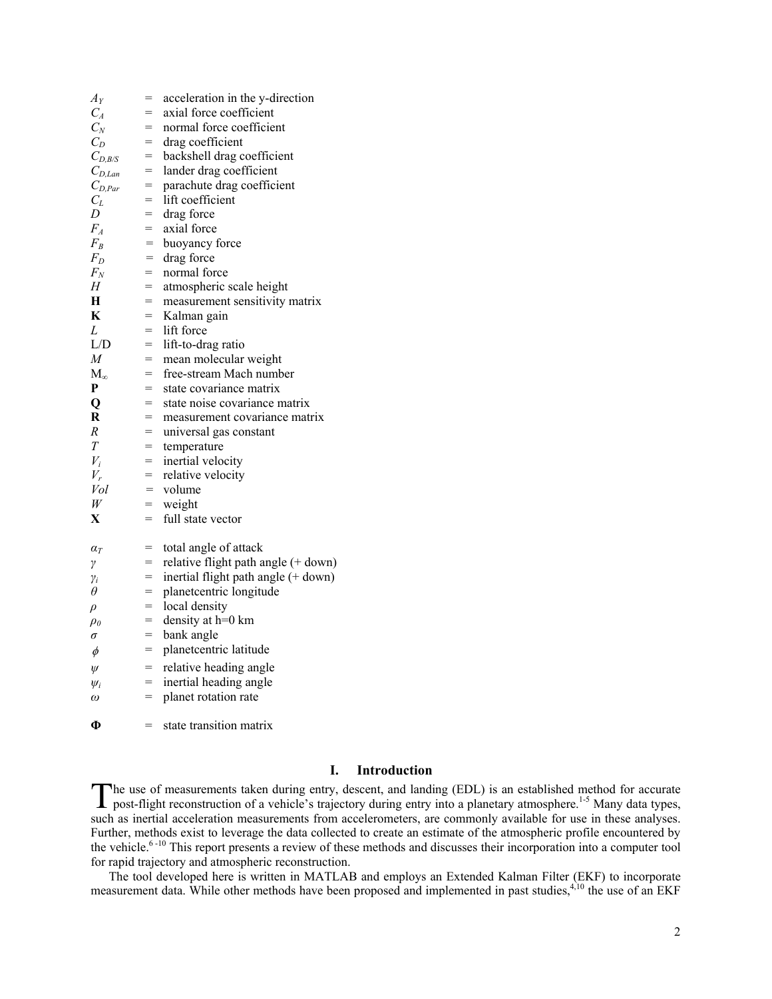| $A_Y$          | $=$ | acceleration in the y-direction       |
|----------------|-----|---------------------------------------|
| $C_A$          | $=$ | axial force coefficient               |
| $C_N$          | $=$ | normal force coefficient              |
| $C_D$          | $=$ | drag coefficient                      |
| $C_{D,B/S}$    | $=$ | backshell drag coefficient            |
| $C_{D, Lan}$   | $=$ | lander drag coefficient               |
| $C_{D,Par}$    | $=$ | parachute drag coefficient            |
| $C_L$          | $=$ | lift coefficient                      |
| D              | $=$ | drag force                            |
| $F_A$          | $=$ | axial force                           |
| $F_B$          | $=$ | buoyancy force                        |
| $F_D$          | $=$ | drag force                            |
| $F_N$          | $=$ | normal force                          |
| Н              | $=$ | atmospheric scale height              |
| Н              | $=$ | measurement sensitivity matrix        |
| K              | $=$ | Kalman gain                           |
| L              | $=$ | lift force                            |
| L/D            | $=$ | lift-to-drag ratio                    |
| M              | $=$ | mean molecular weight                 |
| $M_{\infty}$   | $=$ | free-stream Mach number               |
| P              | $=$ | state covariance matrix               |
| Q              | $=$ | state noise covariance matrix         |
| R              | $=$ | measurement covariance matrix         |
| R              | $=$ | universal gas constant                |
| $\overline{T}$ | $=$ | temperature                           |
| $V_i$          | $=$ | inertial velocity                     |
| $V_r$          | $=$ | relative velocity                     |
| Vol            | $=$ | volume                                |
| W              | $=$ | weight                                |
| X              | $=$ | full state vector                     |
|                |     |                                       |
| $\alpha_T$     | $=$ | total angle of attack                 |
| γ              | $=$ | relative flight path angle $(+$ down) |
| $\gamma_i$     | $=$ | inertial flight path angle (+ down)   |
| θ              | $=$ | planetcentric longitude               |
| $\rho$         | $=$ | local density                         |
| $\rho_{0}$     | $=$ | density at h=0 km                     |
| σ              | $=$ | bank angle                            |
| $\phi$         | $=$ | planetcentric latitude                |
| $\psi$         | $=$ | relative heading angle                |
| $\psi_i$       | $=$ | inertial heading angle                |
| $\omega$       | $=$ | planet rotation rate                  |
|                |     |                                       |
| Ф              | $=$ | state transition matrix               |

# **I. Introduction**

he use of measurements taken during entry, descent, and landing (EDL) is an established method for accurate The use of measurements taken during entry, descent, and landing (EDL) is an established method for accurate post-flight reconstruction of a vehicle's trajectory during entry into a planetary atmosphere.<sup>1-[5](#page-24-1)</sup> Many data typ such as inertial acceleration measurements from accelerometers, are commonly available for use in these analyses. Further, methods exist to leverage the data collected to create an estimate of the atmospheric profile encountered by the vehicle.<sup>6-10</sup> This report presents a review of these methods and discusses their incorporation into a computer tool for rapid trajectory and atmospheric reconstruction.

 The tool developed here is written in MATLAB and employs an Extended Kalman Filter (EKF) to incorporate measurement data. While other methods have been proposed and implemented in past studies,<sup>4,10</sup> the use of an EKF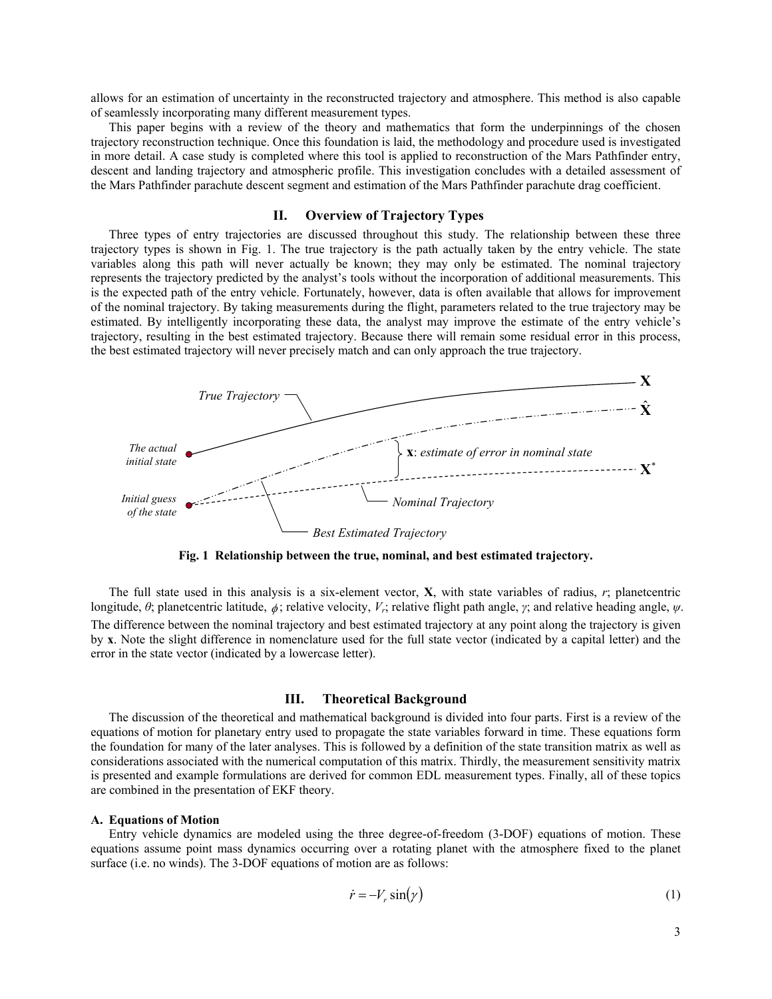allows for an estimation of uncertainty in the reconstructed trajectory and atmosphere. This method is also capable of seamlessly incorporating many different measurement types.

 This paper begins with a review of the theory and mathematics that form the underpinnings of the chosen trajectory reconstruction technique. Once this foundation is laid, the methodology and procedure used is investigated in more detail. A case study is completed where this tool is applied to reconstruction of the Mars Pathfinder entry, descent and landing trajectory and atmospheric profile. This investigation concludes with a detailed assessment of the Mars Pathfinder parachute descent segment and estimation of the Mars Pathfinder parachute drag coefficient.

# **II. Overview of Trajectory Types**

 Three types of entry trajectories are discussed throughout this study. The relationship between these three trajectory types is shown in [Fig. 1](#page-2-0). The true trajectory is the path actually taken by the entry vehicle. The state variables along this path will never actually be known; they may only be estimated. The nominal trajectory represents the trajectory predicted by the analyst's tools without the incorporation of additional measurements. This is the expected path of the entry vehicle. Fortunately, however, data is often available that allows for improvement of the nominal trajectory. By taking measurements during the flight, parameters related to the true trajectory may be estimated. By intelligently incorporating these data, the analyst may improve the estimate of the entry vehicle's trajectory, resulting in the best estimated trajectory. Because there will remain some residual error in this process, the best estimated trajectory will never precisely match and can only approach the true trajectory.



**Fig. 1 Relationship between the true, nominal, and best estimated trajectory.** 

<span id="page-2-0"></span> The full state used in this analysis is a six-element vector, **X**, with state variables of radius, *r*; planetcentric longitude,  $θ$ ; planetcentric latitude,  $φ$ ; relative velocity,  $V_r$ ; relative flight path angle,  $γ$ ; and relative heading angle,  $ψ$ . The difference between the nominal trajectory and best estimated trajectory at any point along the trajectory is given by **x**. Note the slight difference in nomenclature used for the full state vector (indicated by a capital letter) and the error in the state vector (indicated by a lowercase letter).

#### **III. Theoretical Background**

<span id="page-2-1"></span>The discussion of the theoretical and mathematical background is divided into four parts. First is a review of the equations of motion for planetary entry used to propagate the state variables forward in time. These equations form the foundation for many of the later analyses. This is followed by a definition of the state transition matrix as well as considerations associated with the numerical computation of this matrix. Thirdly, the measurement sensitivity matrix is presented and example formulations are derived for common EDL measurement types. Finally, all of these topics are combined in the presentation of EKF theory.

# **A. Equations of Motion**

Entry vehicle dynamics are modeled using the three degree-of-freedom (3-DOF) equations of motion. These equations assume point mass dynamics occurring over a rotating planet with the atmosphere fixed to the planet surface (i.e. no winds). The 3-DOF equations of motion are as follows:

$$
\dot{r} = -V_r \sin(\gamma) \tag{1}
$$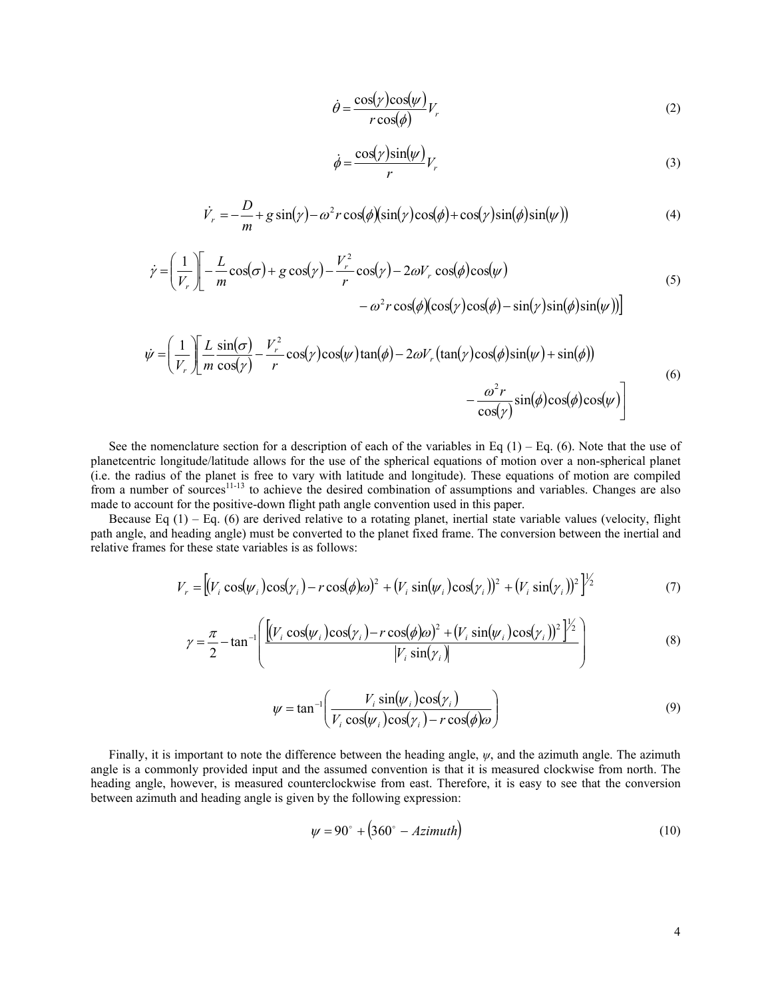$$
\dot{\theta} = \frac{\cos(\gamma)\cos(\psi)}{r\cos(\phi)}V_r
$$
 (2)

$$
\dot{\phi} = \frac{\cos(\gamma)\sin(\psi)}{r}V_r
$$
\n(3)

$$
\dot{V}_r = -\frac{D}{m} + g\sin(\gamma) - \omega^2 r\cos(\phi)(\sin(\gamma)\cos(\phi) + \cos(\gamma)\sin(\phi)\sin(\psi))
$$
\n(4)

$$
\dot{\gamma} = \left(\frac{1}{V_r}\right) \left[ -\frac{L}{m} \cos(\sigma) + g \cos(\gamma) - \frac{V_r^2}{r} \cos(\gamma) - 2\omega V_r \cos(\phi) \cos(\psi) - \omega^2 r \cos(\phi) (\cos(\gamma) \cos(\phi) - \sin(\gamma) \sin(\phi) \sin(\psi)) \right]
$$
\n(5)

$$
\dot{\psi} = \left(\frac{1}{V_r}\right) \left[ \frac{L}{m} \frac{\sin(\sigma)}{\cos(\gamma)} - \frac{V_r^2}{r} \cos(\gamma)\cos(\psi)\tan(\phi) - 2\omega V_r(\tan(\gamma)\cos(\phi)\sin(\psi) + \sin(\phi)) - \frac{\omega^2 r}{\cos(\gamma)} \sin(\phi)\cos(\phi)\cos(\psi) \right]
$$
(6)

See the nomenclature section for a description of each of the variables in Eq  $(1)$  – Eq. (6). Note that the use of planetcentric longitude/latitude allows for the use of the spherical equations of motion over a non-spherical planet (i.e. the radius of the planet is free to vary with latitude and longitude). These equations of motion are compiled from a number of sources<sup>11-[13](#page-24-6)</sup> to achieve the desired combination of assumptions and variables. Changes are also made to account for the positive-down flight path angle convention used in this paper.

Because Eq  $(1)$  – Eq. (6) are derived relative to a rotating planet, inertial state variable values (velocity, flight path angle, and heading angle) must be converted to the planet fixed frame. The conversion between the inertial and relative frames for these state variables is as follows:

$$
V_r = \left[ (V_i \cos(\psi_i)\cos(\gamma_i) - r \cos(\phi)\omega)^2 + (V_i \sin(\psi_i)\cos(\gamma_i))^2 + (V_i \sin(\gamma_i))^2 \right]^{1/2}
$$
(7)

$$
\gamma = \frac{\pi}{2} - \tan^{-1} \left( \frac{\left[ (V_i \cos(\psi_i) \cos(\gamma_i) - r \cos(\phi)\omega)^2 + (V_i \sin(\psi_i) \cos(\gamma_i))^2 \right]^{1/2}}{|V_i \sin(\gamma_i)|} \right) \tag{8}
$$

$$
\psi = \tan^{-1}\left(\frac{V_i \sin(\psi_i)\cos(\gamma_i)}{V_i \cos(\psi_i)\cos(\gamma_i) - r \cos(\phi)\omega}\right)
$$
(9)

Finally, it is important to note the difference between the heading angle, *ψ*, and the azimuth angle. The azimuth angle is a commonly provided input and the assumed convention is that it is measured clockwise from north. The heading angle, however, is measured counterclockwise from east. Therefore, it is easy to see that the conversion between azimuth and heading angle is given by the following expression:

$$
\psi = 90^{\circ} + (360^{\circ} - Azimuth) \tag{10}
$$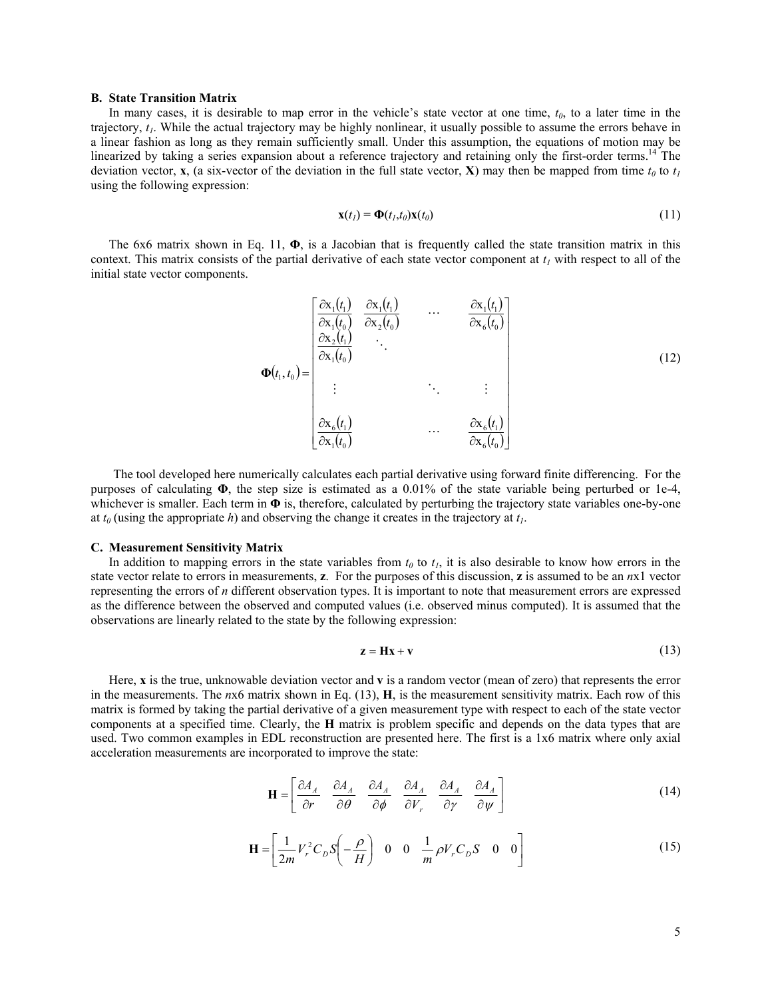#### <span id="page-4-1"></span>**B. State Transition Matrix**

In many cases, it is desirable to map error in the vehicle's state vector at one time,  $t_0$ , to a later time in the trajectory,  $t_1$ . While the actual trajectory may be highly nonlinear, it usually possible to assume the errors behave in a linear fashion as long as they remain sufficiently small. Under this assumption, the equations of motion may be linearized by taking a series expansion about a reference trajectory and retaining only the first-order terms.<sup>14</sup> The deviation vector, **x**, (a six-vector of the deviation in the full state vector, **X**) may then be mapped from time  $t_0$  to  $t_1$ using the following expression:

$$
\mathbf{x}(t_1) = \mathbf{\Phi}(t_1, t_0) \mathbf{x}(t_0) \tag{11}
$$

The 6x6 matrix shown in Eq. 11, **Φ**, is a Jacobian that is frequently called the state transition matrix in this context. This matrix consists of the partial derivative of each state vector component at  $t_1$  with respect to all of the initial state vector components.

$$
\Phi(t_1, t_0) = \begin{bmatrix}\n\frac{\partial x_1(t_1)}{\partial x_1(t_0)} & \frac{\partial x_1(t_1)}{\partial x_2(t_0)} & \cdots & \frac{\partial x_1(t_1)}{\partial x_6(t_0)} \\
\frac{\partial x_2(t_1)}{\partial x_1(t_0)} & \ddots & \vdots \\
\vdots & \vdots & \ddots & \vdots \\
\frac{\partial x_6(t_1)}{\partial x_1(t_0)} & \cdots & \frac{\partial x_6(t_1)}{\partial x_6(t_0)}\n\end{bmatrix}
$$
\n(12)

The tool developed here numerically calculates each partial derivative using forward finite differencing. For the purposes of calculating **Φ**, the step size is estimated as a 0.01% of the state variable being perturbed or 1e-4, whichever is smaller. Each term in **Φ** is, therefore, calculated by perturbing the trajectory state variables one-by-one at  $t_0$  (using the appropriate  $h$ ) and observing the change it creates in the trajectory at  $t_1$ .

## **C. Measurement Sensitivity Matrix**

<span id="page-4-0"></span>In addition to mapping errors in the state variables from  $t_0$  to  $t_1$ , it is also desirable to know how errors in the state vector relate to errors in measurements, **z**. For the purposes of this discussion, **z** is assumed to be an *n*x1 vector representing the errors of *n* different observation types. It is important to note that measurement errors are expressed as the difference between the observed and computed values (i.e. observed minus computed). It is assumed that the observations are linearly related to the state by the following expression:

$$
z = Hx + v \tag{13}
$$

Here, **x** is the true, unknowable deviation vector and **v** is a random vector (mean of zero) that represents the error in the measurements. The *n*x6 matrix shown in Eq. (13), **H**, is the measurement sensitivity matrix. Each row of this matrix is formed by taking the partial derivative of a given measurement type with respect to each of the state vector components at a specified time. Clearly, the **H** matrix is problem specific and depends on the data types that are used. Two common examples in EDL reconstruction are presented here. The first is a 1x6 matrix where only axial acceleration measurements are incorporated to improve the state:

$$
\mathbf{H} = \begin{bmatrix} \frac{\partial A_A}{\partial r} & \frac{\partial A_A}{\partial \theta} & \frac{\partial A_A}{\partial \phi} & \frac{\partial A_A}{\partial V_r} & \frac{\partial A_A}{\partial \gamma} & \frac{\partial A_A}{\partial \psi} \end{bmatrix}
$$
(14)

$$
\mathbf{H} = \left[ \frac{1}{2m} V_r^2 C_D S \left( -\frac{\rho}{H} \right) \quad 0 \quad 0 \quad \frac{1}{m} \rho V_r C_D S \quad 0 \quad 0 \right] \tag{15}
$$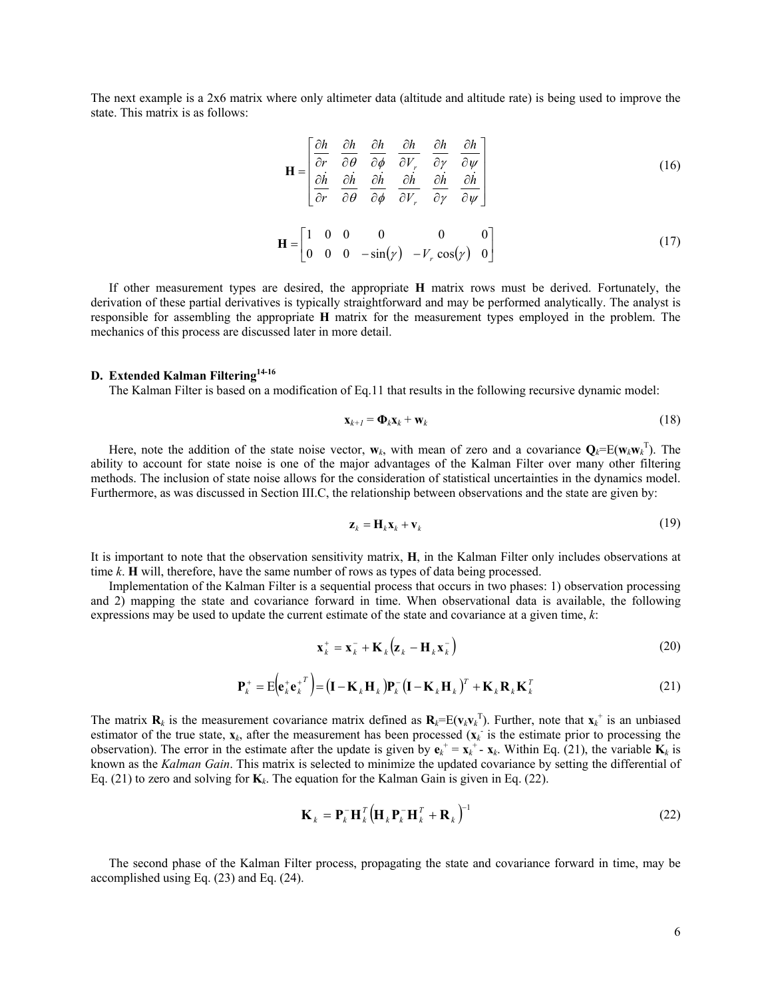The next example is a 2x6 matrix where only altimeter data (altitude and altitude rate) is being used to improve the state. This matrix is as follows:

$$
\mathbf{H} = \begin{bmatrix} \frac{\partial h}{\partial r} & \frac{\partial h}{\partial \theta} & \frac{\partial h}{\partial \phi} & \frac{\partial h}{\partial V_r} & \frac{\partial h}{\partial \gamma} & \frac{\partial h}{\partial \psi} \\ \frac{\partial \dot{h}}{\partial r} & \frac{\partial \dot{h}}{\partial \theta} & \frac{\partial \dot{h}}{\partial \phi} & \frac{\partial \dot{h}}{\partial V_r} & \frac{\partial \dot{h}}{\partial \gamma} & \frac{\partial \dot{h}}{\partial \psi} \end{bmatrix}
$$
(16)

$$
\mathbf{H} = \begin{bmatrix} 1 & 0 & 0 & 0 & 0 \\ 0 & 0 & 0 & -\sin(\gamma) & -V_r \cos(\gamma) & 0 \end{bmatrix}
$$
 (17)

If other measurement types are desired, the appropriate **H** matrix rows must be derived. Fortunately, the derivation of these partial derivatives is typically straightforward and may be performed analytically. The analyst is responsible for assembling the appropriate **H** matrix for the measurement types employed in the problem. The mechanics of this process are discussed later in more detail.

# **D. Extended Kalman Filtering[14](#page-24-7)[-16](#page-24-8)**

The Kalman Filter is based on a modification of Eq.11 that results in the following recursive dynamic model:

$$
\mathbf{x}_{k+1} = \mathbf{\Phi}_k \mathbf{x}_k + \mathbf{w}_k \tag{18}
$$

Here, note the addition of the state noise vector,  $w_k$ , with mean of zero and a covariance  $Q_k = E(w_k w_k^T)$ . The ability to account for state noise is one of the major advantages of the Kalman Filter over many other filtering methods. The inclusion of state noise allows for the consideration of statistical uncertainties in the dynamics model. Furthermore, as was discussed in Section [III](#page-2-1).[C,](#page-4-0) the relationship between observations and the state are given by:

$$
\mathbf{z}_k = \mathbf{H}_k \mathbf{x}_k + \mathbf{v}_k \tag{19}
$$

It is important to note that the observation sensitivity matrix, **H**, in the Kalman Filter only includes observations at time *k*. **H** will, therefore, have the same number of rows as types of data being processed.

Implementation of the Kalman Filter is a sequential process that occurs in two phases: 1) observation processing and 2) mapping the state and covariance forward in time. When observational data is available, the following expressions may be used to update the current estimate of the state and covariance at a given time, *k*:

$$
\mathbf{x}_{k}^{+} = \mathbf{x}_{k}^{-} + \mathbf{K}_{k} \left( \mathbf{z}_{k} - \mathbf{H}_{k} \mathbf{x}_{k}^{-} \right)
$$
 (20)

$$
\mathbf{P}_{k}^{+} = \mathrm{E} \Big( \mathbf{e}_{k}^{+} \mathbf{e}_{k}^{+T} \Big) = \big( \mathbf{I} - \mathbf{K}_{k} \mathbf{H}_{k} \big) \mathbf{P}_{k}^{-} \big( \mathbf{I} - \mathbf{K}_{k} \mathbf{H}_{k} \big)^{T} + \mathbf{K}_{k} \mathbf{R}_{k} \mathbf{K}_{k}^{T} \tag{21}
$$

The matrix  $\mathbf{R}_k$  is the measurement covariance matrix defined as  $\mathbf{R}_k = E(\mathbf{v}_k \mathbf{v}_k^T)$ . Further, note that  $\mathbf{x}_k^+$  is an unbiased estimator of the true state,  $\mathbf{x}_k$ , after the measurement has been processed  $(\mathbf{x}_k)$  is the estimate prior to processing the observation). The error in the estimate after the update is given by  $\mathbf{e}_k^+ = \mathbf{x}_k^+ - \mathbf{x}_k$ . Within Eq. (21), the variable  $\mathbf{K}_k$  is known as the *Kalman Gain*. This matrix is selected to minimize the updated covariance by setting the differential of Eq. (21) to zero and solving for **K***k*. The equation for the Kalman Gain is given in Eq. (22).

$$
\mathbf{K}_{k} = \mathbf{P}_{k}^{-} \mathbf{H}_{k}^{T} \left( \mathbf{H}_{k} \mathbf{P}_{k}^{-} \mathbf{H}_{k}^{T} + \mathbf{R}_{k} \right)^{-1}
$$
(22)

The second phase of the Kalman Filter process, propagating the state and covariance forward in time, may be accomplished using Eq. (23) and Eq. (24).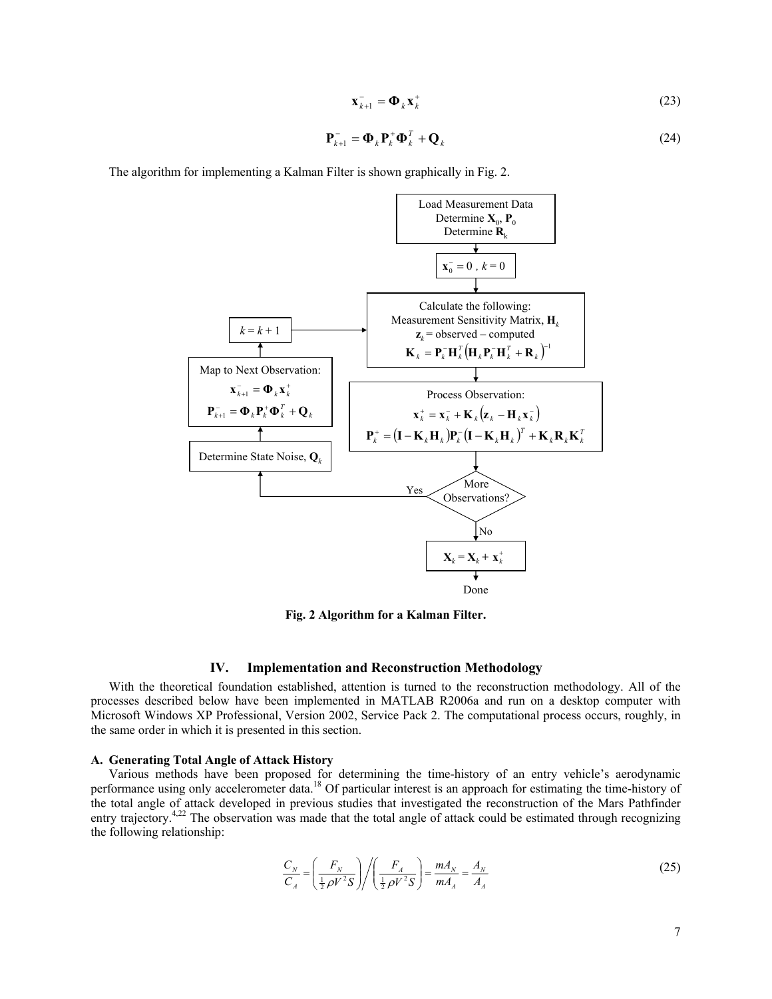$$
\mathbf{x}_{k+1}^{-} = \mathbf{\Phi}_k \mathbf{x}_k^{+}
$$
 (23)

$$
\mathbf{P}_{k+1}^{-} = \mathbf{\Phi}_k \mathbf{P}_k^{+} \mathbf{\Phi}_k^{T} + \mathbf{Q}_k
$$
 (24)

The algorithm for implementing a Kalman Filter is shown graphically in [Fig. 2](#page-6-0).



**Fig. 2 Algorithm for a Kalman Filter.** 

#### **IV. Implementation and Reconstruction Methodology**

<span id="page-6-1"></span><span id="page-6-0"></span>With the theoretical foundation established, attention is turned to the reconstruction methodology. All of the processes described below have been implemented in MATLAB R2006a and run on a desktop computer with Microsoft Windows XP Professional, Version 2002, Service Pack 2. The computational process occurs, roughly, in the same order in which it is presented in this section.

#### <span id="page-6-2"></span>**A. Generating Total Angle of Attack History**

Various methods have been proposed for determining the time-history of an entry vehicle's aerodynamic performance using only accelerometer data.<sup>[18](#page-24-9)</sup> Of particular interest is an approach for estimating the time-history of the total angle of attack developed in previous studies that investigated the reconstruction of the Mars Pathfinder entry trajectory.<sup>[4,](#page-24-4)22</sup> The observation was made that the total angle of attack could be estimated through recognizing the following relationship:

$$
\frac{C_N}{C_A} = \left(\frac{F_N}{\frac{1}{2}\rho V^2 S}\right) / \left(\frac{F_A}{\frac{1}{2}\rho V^2 S}\right) = \frac{m A_N}{m A_A} = \frac{A_N}{A_A}
$$
\n(25)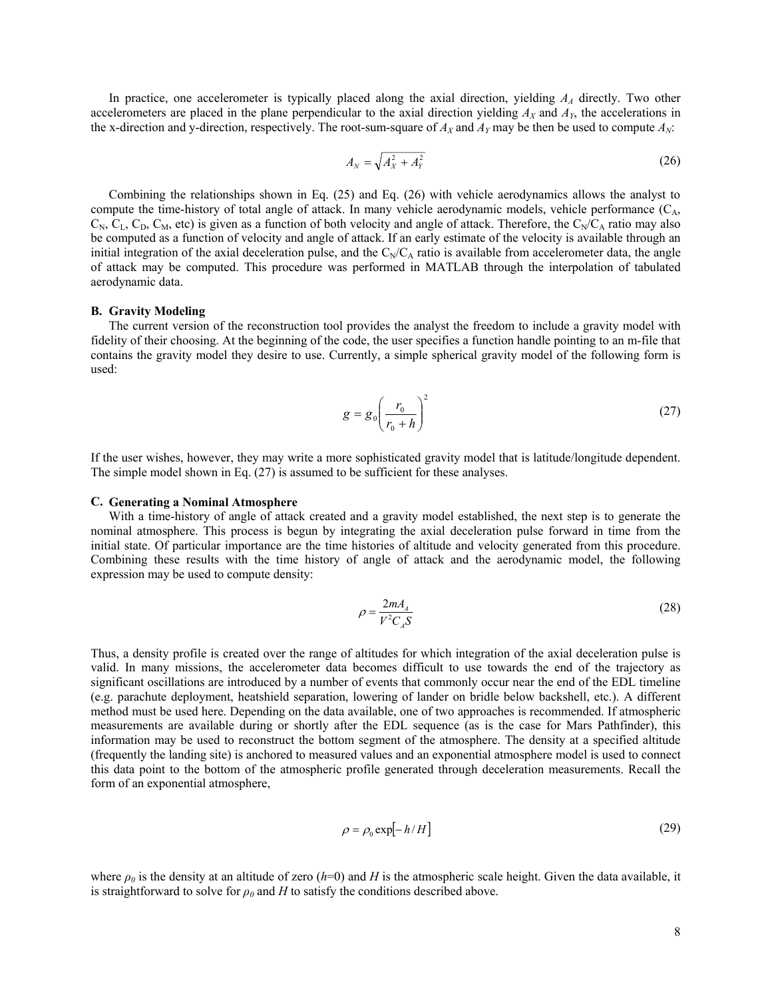In practice, one accelerometer is typically placed along the axial direction, yielding  $A<sub>A</sub>$  directly. Two other accelerometers are placed in the plane perpendicular to the axial direction yielding  $A_X$  and  $A_Y$ , the accelerations in the x-direction and y-direction, respectively. The root-sum-square of  $A_X$  and  $A_Y$  may be then be used to compute  $A_X$ :

$$
A_N = \sqrt{A_X^2 + A_Y^2} \tag{26}
$$

Combining the relationships shown in Eq. (25) and Eq. (26) with vehicle aerodynamics allows the analyst to compute the time-history of total angle of attack. In many vehicle aerodynamic models, vehicle performance  $(C_A,$  $C_N$ ,  $C_L$ ,  $C_D$ ,  $C_M$ , etc) is given as a function of both velocity and angle of attack. Therefore, the  $C_N/C_A$  ratio may also be computed as a function of velocity and angle of attack. If an early estimate of the velocity is available through an initial integration of the axial deceleration pulse, and the  $C_N/C_A$  ratio is available from accelerometer data, the angle of attack may be computed. This procedure was performed in MATLAB through the interpolation of tabulated aerodynamic data.

## **B. Gravity Modeling**

The current version of the reconstruction tool provides the analyst the freedom to include a gravity model with fidelity of their choosing. At the beginning of the code, the user specifies a function handle pointing to an m-file that contains the gravity model they desire to use. Currently, a simple spherical gravity model of the following form is used:

$$
g = g_0 \left(\frac{r_0}{r_0 + h}\right)^2 \tag{27}
$$

If the user wishes, however, they may write a more sophisticated gravity model that is latitude/longitude dependent. The simple model shown in Eq. (27) is assumed to be sufficient for these analyses.

## <span id="page-7-0"></span>**C. Generating a Nominal Atmosphere**

With a time-history of angle of attack created and a gravity model established, the next step is to generate the nominal atmosphere. This process is begun by integrating the axial deceleration pulse forward in time from the initial state. Of particular importance are the time histories of altitude and velocity generated from this procedure. Combining these results with the time history of angle of attack and the aerodynamic model, the following expression may be used to compute density:

$$
\rho = \frac{2mA_A}{V^2 C_A S} \tag{28}
$$

Thus, a density profile is created over the range of altitudes for which integration of the axial deceleration pulse is valid. In many missions, the accelerometer data becomes difficult to use towards the end of the trajectory as significant oscillations are introduced by a number of events that commonly occur near the end of the EDL timeline (e.g. parachute deployment, heatshield separation, lowering of lander on bridle below backshell, etc.). A different method must be used here. Depending on the data available, one of two approaches is recommended. If atmospheric measurements are available during or shortly after the EDL sequence (as is the case for Mars Pathfinder), this information may be used to reconstruct the bottom segment of the atmosphere. The density at a specified altitude (frequently the landing site) is anchored to measured values and an exponential atmosphere model is used to connect this data point to the bottom of the atmospheric profile generated through deceleration measurements. Recall the form of an exponential atmosphere,

$$
\rho = \rho_0 \exp[-h/H] \tag{29}
$$

where  $\rho_0$  is the density at an altitude of zero (*h*=0) and *H* is the atmospheric scale height. Given the data available, it is straightforward to solve for  $\rho_0$  and *H* to satisfy the conditions described above.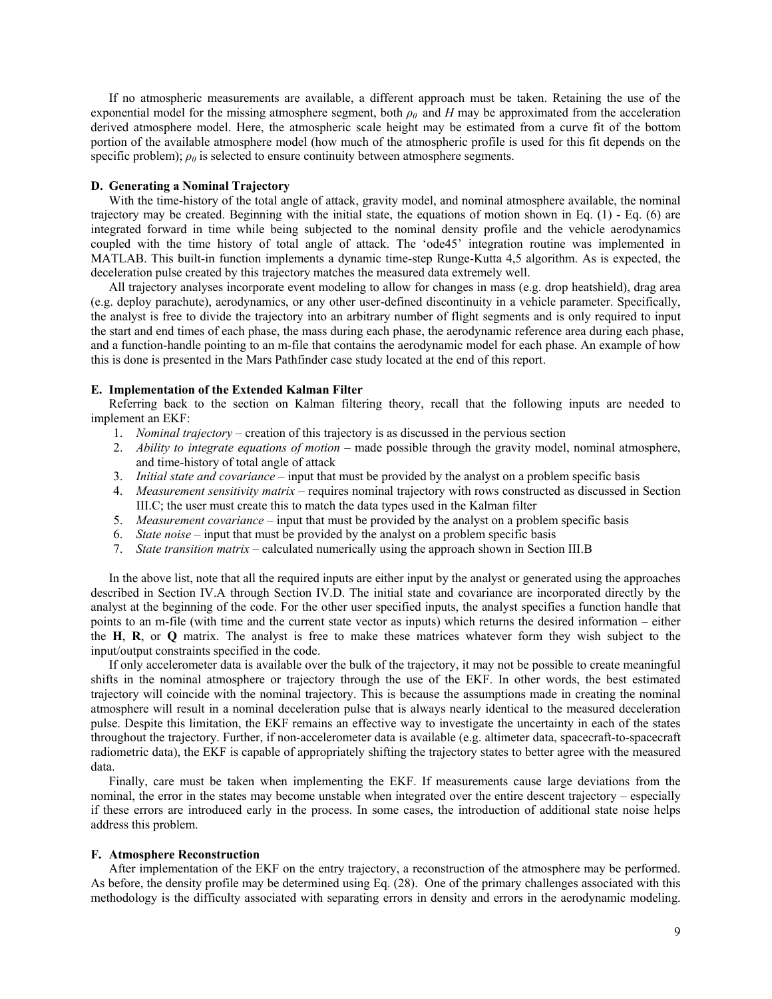If no atmospheric measurements are available, a different approach must be taken. Retaining the use of the exponential model for the missing atmosphere segment, both  $\rho_0$  and *H* may be approximated from the acceleration derived atmosphere model. Here, the atmospheric scale height may be estimated from a curve fit of the bottom portion of the available atmosphere model (how much of the atmospheric profile is used for this fit depends on the specific problem);  $\rho_0$  is selected to ensure continuity between atmosphere segments.

# <span id="page-8-0"></span>**D. Generating a Nominal Trajectory**

With the time-history of the total angle of attack, gravity model, and nominal atmosphere available, the nominal trajectory may be created. Beginning with the initial state, the equations of motion shown in Eq. (1) - Eq. (6) are integrated forward in time while being subjected to the nominal density profile and the vehicle aerodynamics coupled with the time history of total angle of attack. The 'ode45' integration routine was implemented in MATLAB. This built-in function implements a dynamic time-step Runge-Kutta 4,5 algorithm. As is expected, the deceleration pulse created by this trajectory matches the measured data extremely well.

All trajectory analyses incorporate event modeling to allow for changes in mass (e.g. drop heatshield), drag area (e.g. deploy parachute), aerodynamics, or any other user-defined discontinuity in a vehicle parameter. Specifically, the analyst is free to divide the trajectory into an arbitrary number of flight segments and is only required to input the start and end times of each phase, the mass during each phase, the aerodynamic reference area during each phase, and a function-handle pointing to an m-file that contains the aerodynamic model for each phase. An example of how this is done is presented in the Mars Pathfinder case study located at the end of this report.

## **E. Implementation of the Extended Kalman Filter**

Referring back to the section on Kalman filtering theory, recall that the following inputs are needed to implement an EKF:

- 1. *Nominal trajectory* creation of this trajectory is as discussed in the pervious section
- 2. *Ability to integrate equations of motion* made possible through the gravity model, nominal atmosphere, and time-history of total angle of attack
- <span id="page-8-1"></span>3. *Initial state and covariance* – input that must be provided by the analyst on a problem specific basis
- <span id="page-8-2"></span>4. *Measurement sensitivity matrix* – requires nominal trajectory with rows constructed as discussed in Section [III](#page-2-1)[.C](#page-4-0); the user must create this to match the data types used in the Kalman filter
- 5. *Measurement covariance*  input that must be provided by the analyst on a problem specific basis
- 6. *State noise* input that must be provided by the analyst on a problem specific basis
- 7. *State transition matrix*  calculated numerically using the approach shown in Section [III.](#page-2-1)[B](#page-4-1)

In the above list, note that all the required inputs are either input by the analyst or generated using the approaches described in Section [IV](#page-6-1).[A](#page-6-2) through Section [IV.](#page-6-1)[D](#page-8-0). The initial state and covariance are incorporated directly by the analyst at the beginning of the code. For the other user specified inputs, the analyst specifies a function handle that points to an m-file (with time and the current state vector as inputs) which returns the desired information – either the **H**, **R**, or **Q** matrix. The analyst is free to make these matrices whatever form they wish subject to the input/output constraints specified in the code.

If only accelerometer data is available over the bulk of the trajectory, it may not be possible to create meaningful shifts in the nominal atmosphere or trajectory through the use of the EKF. In other words, the best estimated trajectory will coincide with the nominal trajectory. This is because the assumptions made in creating the nominal atmosphere will result in a nominal deceleration pulse that is always nearly identical to the measured deceleration pulse. Despite this limitation, the EKF remains an effective way to investigate the uncertainty in each of the states throughout the trajectory. Further, if non-accelerometer data is available (e.g. altimeter data, spacecraft-to-spacecraft radiometric data), the EKF is capable of appropriately shifting the trajectory states to better agree with the measured data.

Finally, care must be taken when implementing the EKF. If measurements cause large deviations from the nominal, the error in the states may become unstable when integrated over the entire descent trajectory – especially if these errors are introduced early in the process. In some cases, the introduction of additional state noise helps address this problem.

# <span id="page-8-3"></span>**F. Atmosphere Reconstruction**

After implementation of the EKF on the entry trajectory, a reconstruction of the atmosphere may be performed. As before, the density profile may be determined using Eq. (28). One of the primary challenges associated with this methodology is the difficulty associated with separating errors in density and errors in the aerodynamic modeling.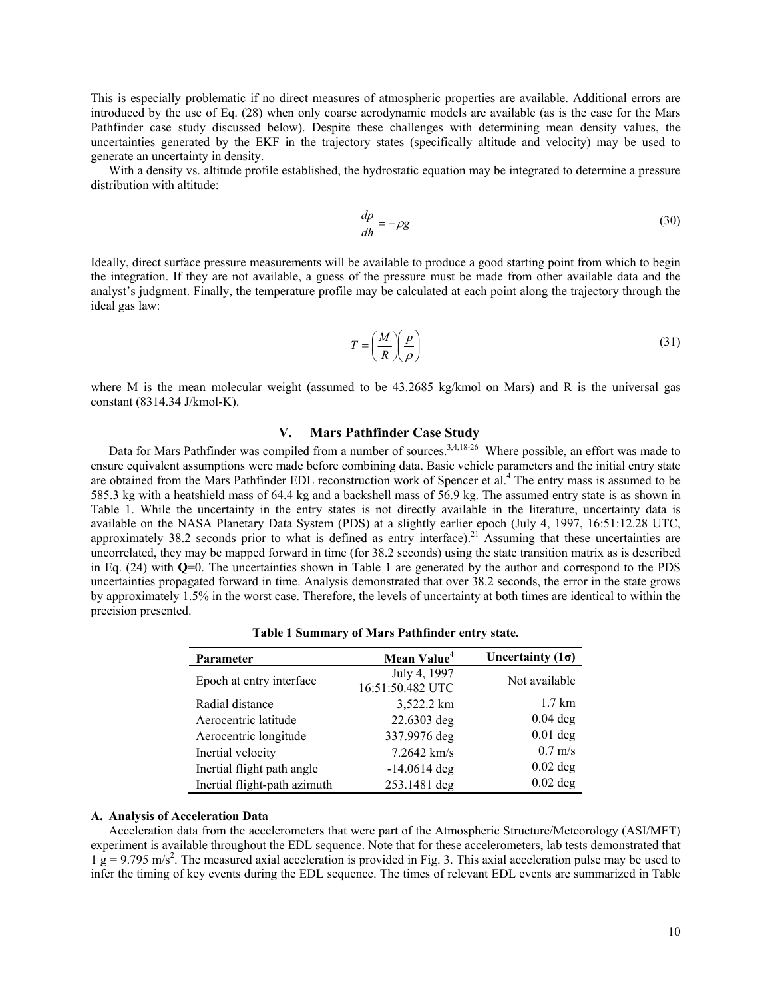This is especially problematic if no direct measures of atmospheric properties are available. Additional errors are introduced by the use of Eq. (28) when only coarse aerodynamic models are available (as is the case for the Mars Pathfinder case study discussed below). Despite these challenges with determining mean density values, the uncertainties generated by the EKF in the trajectory states (specifically altitude and velocity) may be used to generate an uncertainty in density.

With a density vs. altitude profile established, the hydrostatic equation may be integrated to determine a pressure distribution with altitude:

$$
\frac{dp}{dh} = -\rho g \tag{30}
$$

Ideally, direct surface pressure measurements will be available to produce a good starting point from which to begin the integration. If they are not available, a guess of the pressure must be made from other available data and the analyst's judgment. Finally, the temperature profile may be calculated at each point along the trajectory through the ideal gas law:

$$
T = \left(\frac{M}{R}\right)\left(\frac{p}{\rho}\right) \tag{31}
$$

where M is the mean molecular weight (assumed to be 43.2685 kg/kmol on Mars) and R is the universal gas constant (8314.34 J/kmol-K).

# **V. Mars Pathfinder Case Study**

Data for Mars Pathfinder was compiled from a number of sources.<sup>[3](#page-8-1),4,18-26</sup> Where possible[,](#page-8-2) an effort was made to ensure equivalent assumptions were made before combining data. Basic vehicle parameters and the initial entry state are obtained from the Mars Pathfinder EDL reconstruction work of Spencer et al.<sup>[4](#page-24-4)</sup> The entry mass is assumed to be 585.3 kg with a heatshield mass of 64.4 kg and a backshell mass of 56.9 kg. The assumed entry state is as shown in [Table 1](#page-9-0). While the uncertainty in the entry states is not directly available in the literature, uncertainty data is available on the NASA Planetary Data System (PDS) at a slightly earlier epoch (July 4, 1997, 16:51:12.28 UTC, approximately 38.2 seconds prior to what is defined as entry interface).<sup>21</sup> Assuming that these uncertainties are uncorrelated, they may be mapped forward in time (for 38.2 seconds) using the state transition matrix as is described in Eq. (24) with **Q**=0. The uncertainties shown in [Table 1](#page-9-0) are generated by the author and correspond to the PDS uncertainties propagated forward in time. Analysis demonstrated that over 38.2 seconds, the error in the state grows by approximately 1.5% in the worst case. Therefore, the levels of uncertainty at both times are identical to within the precision presented.

|              | Table 1 Summary of Mars Pathfinder entry state. |            |
|--------------|-------------------------------------------------|------------|
| <b>LA -4</b> | $M_{\rm con}$ $V_{\rm cluc}^4$                  | - Uncertoi |

<span id="page-9-0"></span>

| Parameter                    | Mean Value <sup>4</sup>          | Uncertainty $(1\sigma)$ |
|------------------------------|----------------------------------|-------------------------|
| Epoch at entry interface     | July 4, 1997<br>16:51:50.482 UTC | Not available           |
| Radial distance              | 3,522.2 km                       | $1.7 \mathrm{km}$       |
| Aerocentric latitude         | 22.6303 deg                      | $0.04$ deg              |
| Aerocentric longitude        | 337.9976 deg                     | $0.01$ deg              |
| Inertial velocity            | $7.2642$ km/s                    | $0.7$ m/s               |
| Inertial flight path angle   | $-14.0614$ deg                   | $0.02$ deg              |
| Inertial flight-path azimuth | 253.1481 deg                     | $0.02$ deg              |

# **A. Analysis of Acceleration Data**

Acceleration data from the accelerometers that were part of the Atmospheric Structure/Meteorology (ASI/MET) experiment is available throughout the EDL sequence. Note that for these accelerometers, lab tests demonstrated that  $1 \text{ g} = 9.795 \text{ m/s}^2$ . The measured axial acceleration is provided in [Fig. 3](#page-10-0). This axial acceleration pulse may be used to infer the timing of key events during the EDL sequence. The times of relevant EDL events are summarized in [Table](#page-10-1)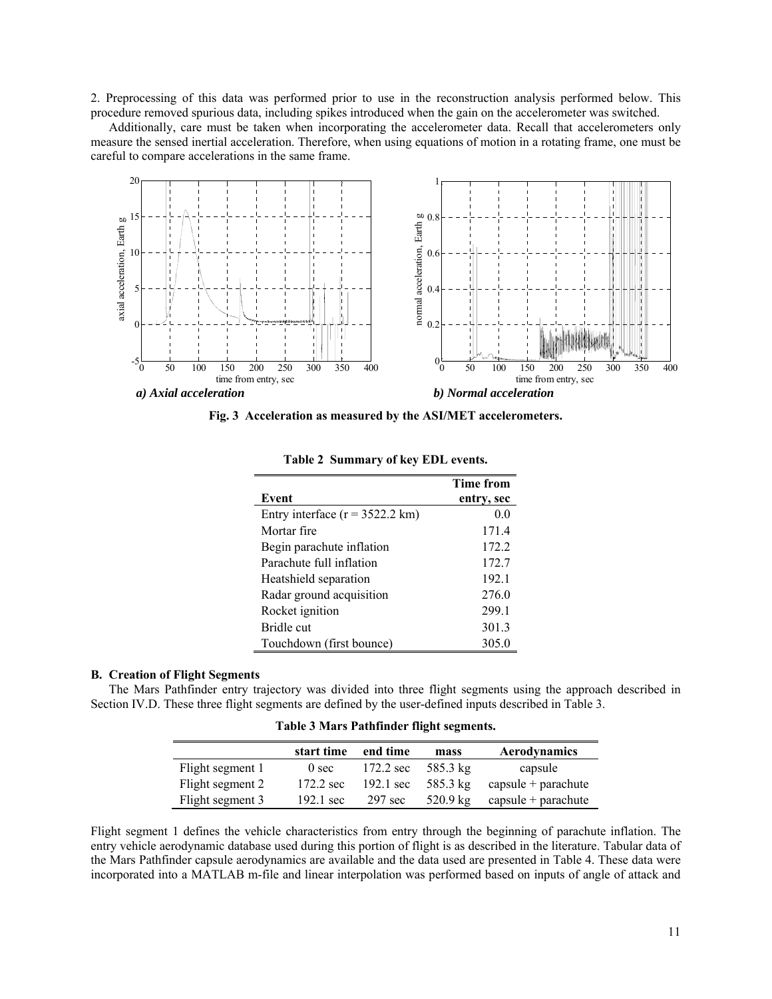[2.](#page-10-1) Preprocessing of this data was performed prior to use in the reconstruction analysis performed below. This procedure removed spurious data, including spikes introduced when the gain on the accelerometer was switched.

Additionally, care must be taken when incorporating the accelerometer data. Recall that accelerometers only measure the sensed inertial acceleration. Therefore, when using equations of motion in a rotating frame, one must be careful to compare accelerations in the same frame.



<span id="page-10-1"></span><span id="page-10-0"></span>**Fig. 3 Acceleration as measured by the ASI/MET accelerometers.** 

|                                           | Time from      |
|-------------------------------------------|----------------|
| Event                                     | entry, sec     |
| Entry interface $(r = 3522.2 \text{ km})$ | 0 <sub>0</sub> |
| Mortar fire                               | 171.4          |
| Begin parachute inflation                 | 172.2          |
| Parachute full inflation                  | 172.7          |
| Heatshield separation                     | 192.1          |
| Radar ground acquisition                  | 276.0          |
| Rocket ignition                           | 299.1          |
| Bridle cut                                | 301.3          |
| Touchdown (first bounce)                  | 305.0          |

**Table 2 Summary of key EDL events.** 

# **B. Creation of Flight Segments**

<span id="page-10-2"></span>The Mars Pathfinder entry trajectory was divided into three flight segments using the approach described in Section [IV](#page-6-1).[D.](#page-8-0) These three flight segments are defined by the user-defined inputs described in [Table 3.](#page-10-2)

**Table 3 Mars Pathfinder flight segments.** 

|                  | start time       | end time            | mass               | Aerodynamics          |
|------------------|------------------|---------------------|--------------------|-----------------------|
| Flight segment 1 | 0 <sub>sec</sub> | 172.2 sec           | 585.3 kg           | capsule               |
| Flight segment 2 | 172.2 sec        | $192.1 \text{ sec}$ | 585.3 kg           | $capsule + parachute$ |
| Flight segment 3 | 192.1 sec        | 297 sec             | $520.9 \text{ kg}$ | $capsule + parachute$ |

Flight segment 1 defines the vehicle characteristics from entry through the beginning of parachute inflation. The entry vehicle aerodynamic database used during this portion of flight is as described in the literature. Tabular data of the Mars Pathfinder capsule aerodynamics are available and the data used are presented in [Table 4](#page-11-0). These data were incorporated into a MATLAB m-file and linear interpolation was performed based on inputs of angle of attack and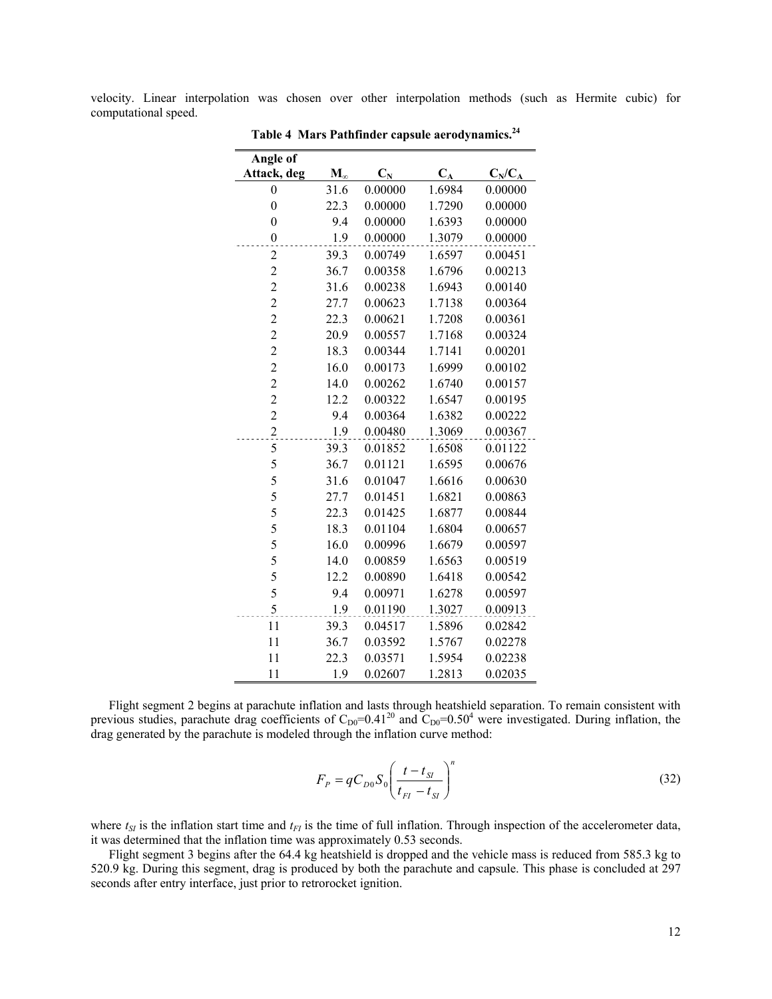<span id="page-11-0"></span>velocity. Linear interpolation was chosen over other interpolation methods (such as Hermite cubic) for computational speed.

| Angle of         |              |         |                         |           |
|------------------|--------------|---------|-------------------------|-----------|
| Attack, deg      | $M_{\infty}$ | $C_N$   | $\mathbf{C}_\mathbf{A}$ | $C_N/C_A$ |
| $\boldsymbol{0}$ | 31.6         | 0.00000 | 1.6984                  | 0.00000   |
| $\overline{0}$   | 22.3         | 0.00000 | 1.7290                  | 0.00000   |
| $\overline{0}$   | 9.4          | 0.00000 | 1.6393                  | 0.00000   |
| $\overline{0}$   | 1.9          | 0.00000 | 1.3079                  | 0.00000   |
| $\overline{c}$   | 39.3         | 0.00749 | 1.6597                  | 0.00451   |
| $\overline{c}$   | 36.7         | 0.00358 | 1.6796                  | 0.00213   |
| $\overline{c}$   | 31.6         | 0.00238 | 1.6943                  | 0.00140   |
| $\overline{c}$   | 27.7         | 0.00623 | 1.7138                  | 0.00364   |
| $\overline{2}$   | 22.3         | 0.00621 | 1.7208                  | 0.00361   |
| $\overline{c}$   | 20.9         | 0.00557 | 1.7168                  | 0.00324   |
| $\overline{2}$   | 18.3         | 0.00344 | 1.7141                  | 0.00201   |
| $\overline{c}$   | 16.0         | 0.00173 | 1.6999                  | 0.00102   |
| $\overline{c}$   | 14.0         | 0.00262 | 1.6740                  | 0.00157   |
| $\overline{c}$   | 12.2         | 0.00322 | 1.6547                  | 0.00195   |
| $\overline{c}$   | 9.4          | 0.00364 | 1.6382                  | 0.00222   |
| $\overline{2}$   | 1.9          | 0.00480 | 1.3069                  | 0.00367   |
| 5                | 39.3         | 0.01852 | 1.6508                  | 0.01122   |
| 5                | 36.7         | 0.01121 | 1.6595                  | 0.00676   |
| 5                | 31.6         | 0.01047 | 1.6616                  | 0.00630   |
| 5                | 27.7         | 0.01451 | 1.6821                  | 0.00863   |
| 5                | 22.3         | 0.01425 | 1.6877                  | 0.00844   |
| 5                | 18.3         | 0.01104 | 1.6804                  | 0.00657   |
| 5                | 16.0         | 0.00996 | 1.6679                  | 0.00597   |
| 5                | 14.0         | 0.00859 | 1.6563                  | 0.00519   |
| 5                | 12.2         | 0.00890 | 1.6418                  | 0.00542   |
| 5                | 9.4          | 0.00971 | 1.6278                  | 0.00597   |
| 5                | 1.9          | 0.01190 | 1.3027                  | 0.00913   |
| 11               | 39.3         | 0.04517 | 1.5896                  | 0.02842   |
| 11               | 36.7         | 0.03592 | 1.5767                  | 0.02278   |
| 11               | 22.3         | 0.03571 | 1.5954                  | 0.02238   |
| 11               | 1.9          | 0.02607 | 1.2813                  | 0.02035   |

**Table 4 Mars Pathfinder capsule aerodynamics[.24](#page-25-1)**

Flight segment 2 begins at parachute inflation and lasts through heatshield separation. To remain consistent with previous studies, parachute drag coefficients of  $C_{D0}$ =0.41<sup>[20](#page-24-12)</sup> and  $C_{D0}$ =0.50<sup>4</sup> were investigated. During inflation, the drag generated by the parachute is modeled through the inflation curve method:

$$
F_P = qC_{D0}S_0 \left(\frac{t - t_{SI}}{t_{FI} - t_{SI}}\right)^n
$$
\n(32)

where  $t_{SI}$  is the inflation start time and  $t_{FI}$  is the time of full inflation. Through inspection of the accelerometer data, it was determined that the inflation time was approximately 0.53 seconds.

Flight segment 3 begins after the 64.4 kg heatshield is dropped and the vehicle mass is reduced from 585.3 kg to 520.9 kg. During this segment, drag is produced by both the parachute and capsule. This phase is concluded at 297 seconds after entry interface, just prior to retrorocket ignition.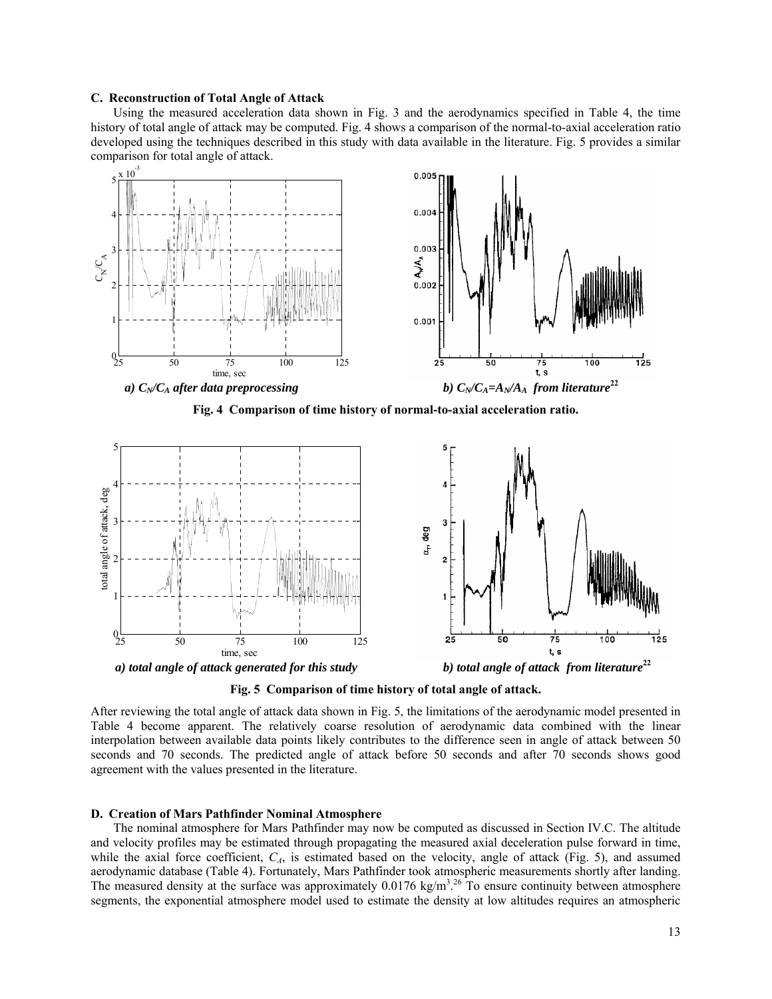## **C. Reconstruction of Total Angle of Attack**

Using the measured acceleration data shown in [Fig. 3](#page-10-0) and the aerodynamics specified in [Table 4](#page-11-0), the time history of total angle of attack may be computed. [Fig. 4](#page-12-0) shows a comparison of the normal-to-axial acceleration ratio developed using the techniques described in this study with data available in the literature. [Fig. 5](#page-12-1) provides a similar comparison for total angle of attack.



**Fig. 4 Comparison of time history of normal-to-axial acceleration ratio.** 

<span id="page-12-0"></span>

**Fig. 5 Comparison of time history of total angle of attack.** 

<span id="page-12-1"></span>After reviewing the total angle of attack data shown in [Fig. 5,](#page-12-1) the limitations of the aerodynamic model presented in [Table 4](#page-11-0) become apparent. The relatively coarse resolution of aerodynamic data combined with the linear interpolation between available data points likely contributes to the difference seen in angle of attack between 50 seconds and 70 seconds. The predicted angle of attack before 50 seconds and after 70 seconds shows good agreement with the values presented in the literature.

## **D. Creation of Mars Pathfinder Nominal Atmosphere**

The nominal atmosphere for Mars Pathfinder may now be computed as discussed in Section [IV](#page-6-1)[.C](#page-7-0). The altitude and velocity profiles may be estimated through propagating the measured axial deceleration pulse forward in time, while the axial force coefficient,  $C_A$ , is estimated based on the velocity, angle of attack [\(Fig. 5\)](#page-12-1), and assumed aerodynamic database ([Table 4](#page-11-0)). Fortunately, Mars Pathfinder took atmospheric measurements shortly after landing. The measured density at the surface was approximately  $0.0176 \text{ kg/m}^3$ .<sup>[26](#page-25-0)</sup> To ensure continuity between atmosphere segments, the exponential atmosphere model used to estimate the density at low altitudes requires an atmospheric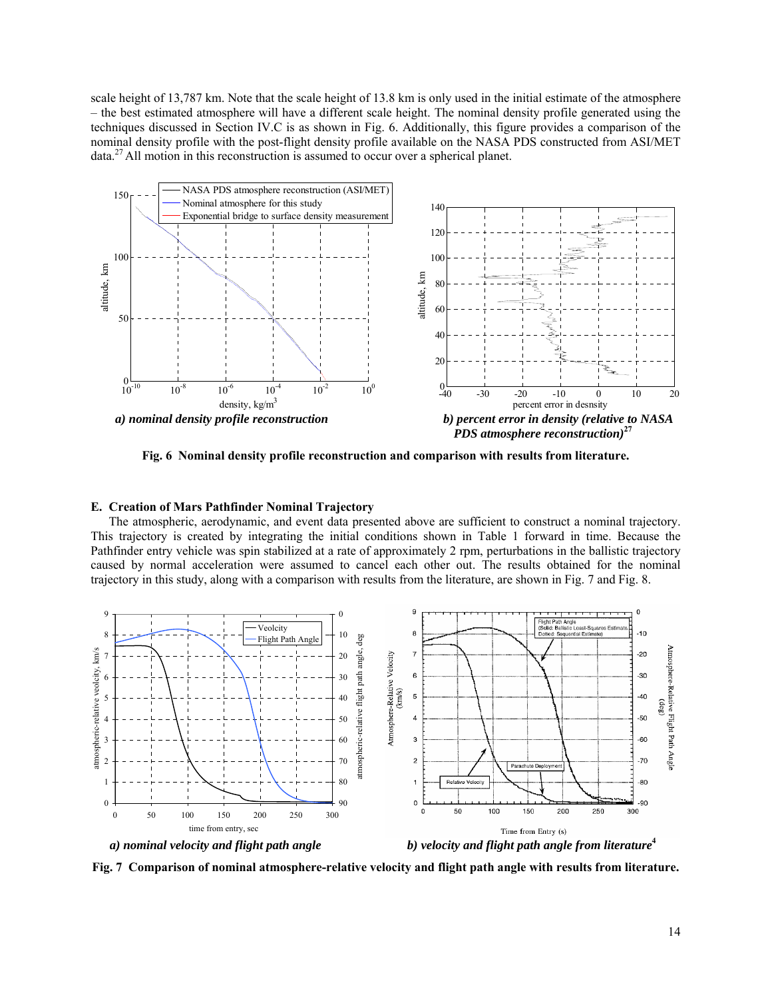scale height of 13,787 km. Note that the scale height of 13.8 km is only used in the initial estimate of the atmosphere – the best estimated atmosphere will have a different scale height. The nominal density profile generated using the techniques discussed in Section [IV.](#page-6-1)[C](#page-7-0) is as shown in [Fig. 6.](#page-13-0) Additionally, this figure provides a comparison of the nominal density profile with the post-flight density profile available on the NASA PDS constructed from ASI/MET data[.27](#page-25-2) All motion in this reconstruction is assumed to occur over a spherical planet.



**Fig. 6 Nominal density profile reconstruction and comparison with results from literature.** 

## <span id="page-13-0"></span>**E. Creation of Mars Pathfinder Nominal Trajectory**

The atmospheric, aerodynamic, and event data presented above are sufficient to construct a nominal trajectory. This trajectory is created by integrating the initial conditions shown in [Table 1](#page-9-0) forward in time. Because the Pathfinder entry vehicle was spin stabilized at a rate of approximately 2 rpm, perturbations in the ballistic trajectory caused by normal acceleration were assumed to cancel each other out. The results obtained for the nominal trajectory in this study, along with a comparison with results from the literature, are shown in [Fig. 7](#page-13-1) and [Fig. 8](#page-14-0).



<span id="page-13-1"></span>**Fig. 7 Comparison of nominal atmosphere-relative velocity and flight path angle with results from literature.**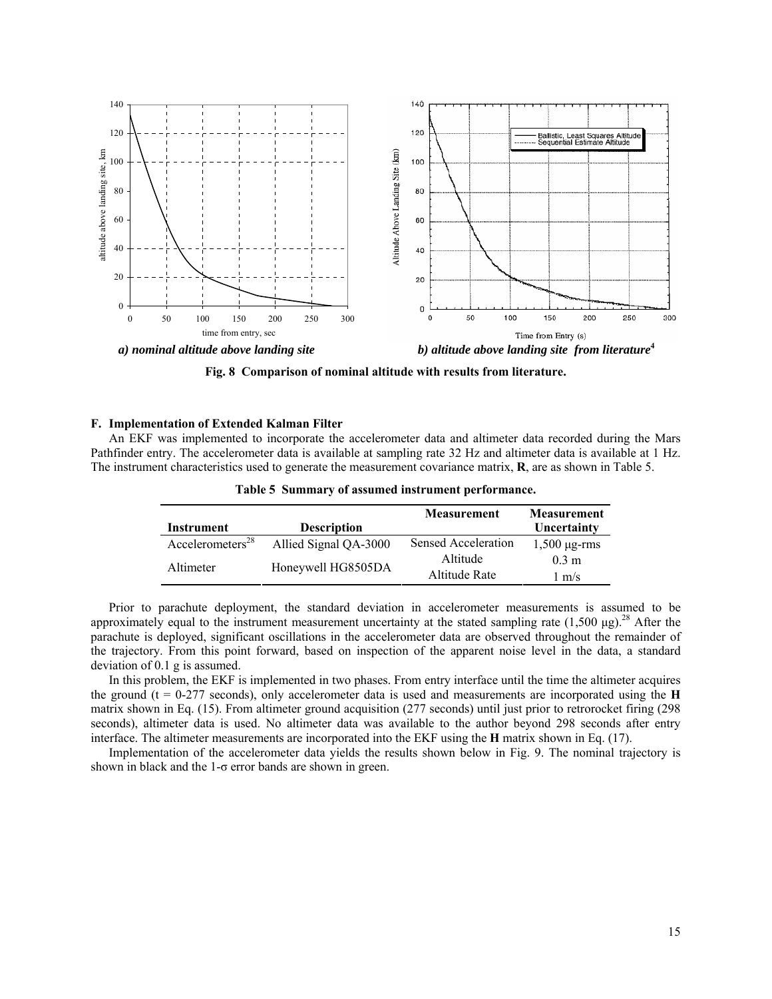

**Fig. 8 Comparison of nominal altitude with results from literature.** 

# <span id="page-14-0"></span>**F. Implementation of Extended Kalman Filter**

<span id="page-14-1"></span>An EKF was implemented to incorporate the accelerometer data and altimeter data recorded during the Mars Pathfinder entry. The accelerometer data is available at sampling rate 32 Hz and altimeter data is available at 1 Hz. The instrument characteristics used to generate the measurement covariance matrix, **R**, are as shown in [Table 5.](#page-14-1)

|                              |                       | <b>Measurement</b>  | <b>Measurement</b> |
|------------------------------|-----------------------|---------------------|--------------------|
| Instrument                   | <b>Description</b>    |                     | Uncertainty        |
| Accelerometers <sup>28</sup> | Allied Signal QA-3000 | Sensed Acceleration | $1,500 \mu$ g-rms  |
| Altimeter                    | Honeywell HG8505DA    | Altitude            | $0.3 \text{ m}$    |
|                              |                       | Altitude Rate       | $\rm{m/s}$         |

**Table 5 Summary of assumed instrument performance.** 

Prior to parachute deployment, the standard deviation in accelerometer measurements is assumed to be approximately equal to the instrument measurement uncertainty at the stated sampling rate (1,500 μg).<sup>28</sup> After the parachute is deployed, significant oscillations in the accelerometer data are observed throughout the remainder of the trajectory. From this point forward, based on inspection of the apparent noise level in the data, a standard deviation of 0.1 g is assumed.

In this problem, the EKF is implemented in two phases. From entry interface until the time the altimeter acquires the ground  $(t = 0-277$  seconds), only accelerometer data is used and measurements are incorporated using the **H** matrix shown in Eq. (15). From altimeter ground acquisition (277 seconds) until just prior to retrorocket firing (298 seconds), altimeter data is used. No altimeter data was available to the author beyond 298 seconds after entry interface. The altimeter measurements are incorporated into the EKF using the **H** matrix shown in Eq. (17).

Implementation of the accelerometer data yields the results shown below in [Fig. 9](#page-15-0). The nominal trajectory is shown in black and the 1-σ error bands are shown in green.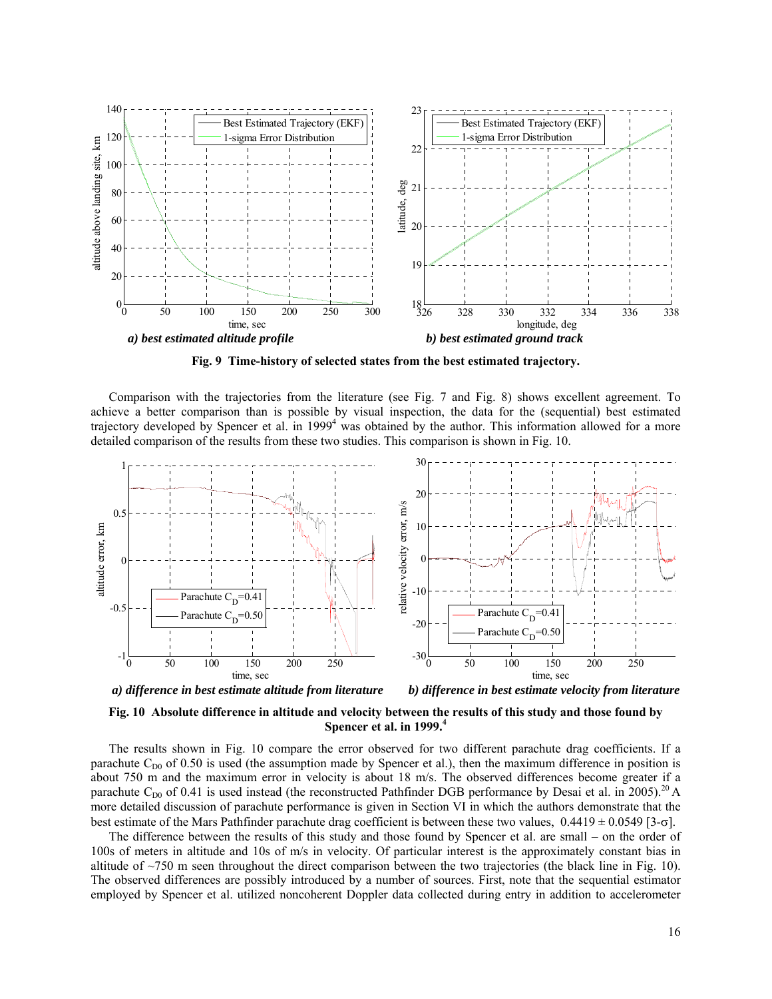

**Fig. 9 Time-history of selected states from the best estimated trajectory.** 

<span id="page-15-0"></span>Comparison with the trajectories from the literature (see [Fig. 7](#page-13-1) and [Fig. 8\)](#page-14-0) shows excellent agreement. To achieve a better comparison than is possible by visual inspection, the data for the (sequential) best estimated trajectory developed by Spencer et al. in 1999<sup>[4](#page-24-4)</sup> was obtained by the author. This information allowed for a more detailed comparison of the results from these two studies. This comparison is shown in [Fig. 10.](#page-15-1)



 *a) difference in best estimate altitude from literature b) difference in best estimate velocity from literature* 

# **Fig. 10 Absolute difference in altitude and velocity between the results of this study and those found by Spencer et al. in 1999[.4](#page-24-4)**

<span id="page-15-1"></span>The results shown in [Fig. 10](#page-15-1) compare the error observed for two different parachute drag coefficients. If a parachute  $C_{D0}$  of 0.50 is used (the assumption made by Spencer et al.), then the maximum difference in position is about 750 m and the maximum error in velocity is about 18 m/s. The observed differences become greater if a parachute C<sub>D0</sub> of 0.41 is used instead (the reconstructed Pathfinder DGB performance by Desai et al. in [20](#page-24-12)05).<sup>20</sup> A more detailed discussion of parachute performance is given in Section [VI](#page-18-0) in which the authors demonstrate that the best estimate of the Mars Pathfinder parachute drag coefficient is between these two values,  $0.4419 \pm 0.0549$  [3- $\sigma$ ].

The difference between the results of this study and those found by Spencer et al. are small – on the order of 100s of meters in altitude and 10s of m/s in velocity. Of particular interest is the approximately constant bias in altitude of  $\sim$ 750 m seen throughout the direct comparison between the two trajectories (the black line in [Fig. 10](#page-15-1)). The observed differences are possibly introduced by a number of sources. First, note that the sequential estimator employed by Spencer et al. utilized noncoherent Doppler data collected during entry in addition to accelerometer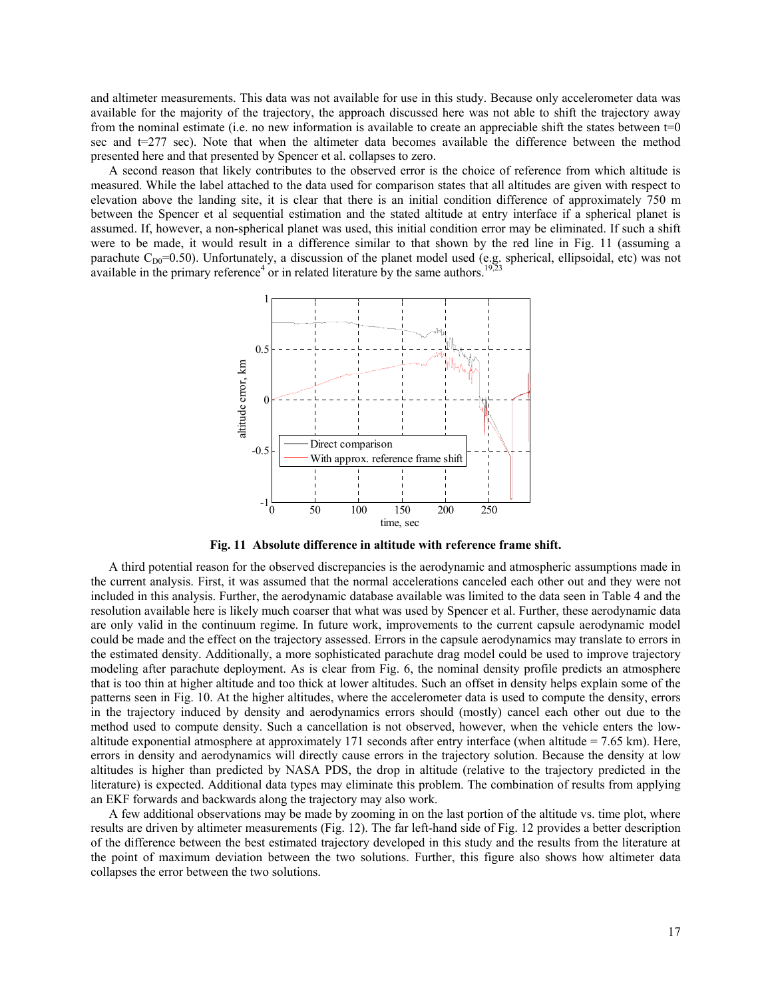and altimeter measurements. This data was not available for use in this study. Because only accelerometer data was available for the majority of the trajectory, the approach discussed here was not able to shift the trajectory away from the nominal estimate (i.e. no new information is available to create an appreciable shift the states between  $t=0$ sec and t=277 sec). Note that when the altimeter data becomes available the difference between the method presented here and that presented by Spencer et al. collapses to zero.

A second reason that likely contributes to the observed error is the choice of reference from which altitude is measured. While the label attached to the data used for comparison states that all altitudes are given with respect to elevation above the landing site, it is clear that there is an initial condition difference of approximately 750 m between the Spencer et al sequential estimation and the stated altitude at entry interface if a spherical planet is assumed. If, however, a non-spherical planet was used, this initial condition error may be eliminated. If such a shift were to be made, it would result in a difference similar to that shown by the red line in [Fig. 11](#page-16-0) (assuming a parachute  $C_{D0}=0.50$ ). Unfortunately, a discussion of the planet model used (e.g. spherical, ellipsoidal, etc) was not available in the primary reference<sup>[4](#page-24-4)</sup> or in related literature by the same authors.<sup>19[,23](#page-24-14)</sup>



**Fig. 11 Absolute difference in altitude with reference frame shift.** 

<span id="page-16-0"></span>A third potential reason for the observed discrepancies is the aerodynamic and atmospheric assumptions made in the current analysis. First, it was assumed that the normal accelerations canceled each other out and they were not included in this analysis. Further, the aerodynamic database available was limited to the data seen in [Table 4](#page-11-0) and the resolution available here is likely much coarser that what was used by Spencer et al. Further, these aerodynamic data are only valid in the continuum regime. In future work, improvements to the current capsule aerodynamic model could be made and the effect on the trajectory assessed. Errors in the capsule aerodynamics may translate to errors in the estimated density. Additionally, a more sophisticated parachute drag model could be used to improve trajectory modeling after parachute deployment. As is clear from [Fig. 6](#page-13-0), the nominal density profile predicts an atmosphere that is too thin at higher altitude and too thick at lower altitudes. Such an offset in density helps explain some of the patterns seen in [Fig. 10.](#page-15-1) At the higher altitudes, where the accelerometer data is used to compute the density, errors in the trajectory induced by density and aerodynamics errors should (mostly) cancel each other out due to the method used to compute density. Such a cancellation is not observed, however, when the vehicle enters the lowaltitude exponential atmosphere at approximately 171 seconds after entry interface (when altitude  $= 7.65$  km). Here, errors in density and aerodynamics will directly cause errors in the trajectory solution. Because the density at low altitudes is higher than predicted by NASA PDS, the drop in altitude (relative to the trajectory predicted in the literature) is expected. Additional data types may eliminate this problem. The combination of results from applying an EKF forwards and backwards along the trajectory may also work.

A few additional observations may be made by zooming in on the last portion of the altitude vs. time plot, where results are driven by altimeter measurements ([Fig. 12](#page-17-0)). The far left-hand side of [Fig. 12](#page-17-0) provides a better description of the difference between the best estimated trajectory developed in this study and the results from the literature at the point of maximum deviation between the two solutions. Further, this figure also shows how altimeter data collapses the error between the two solutions.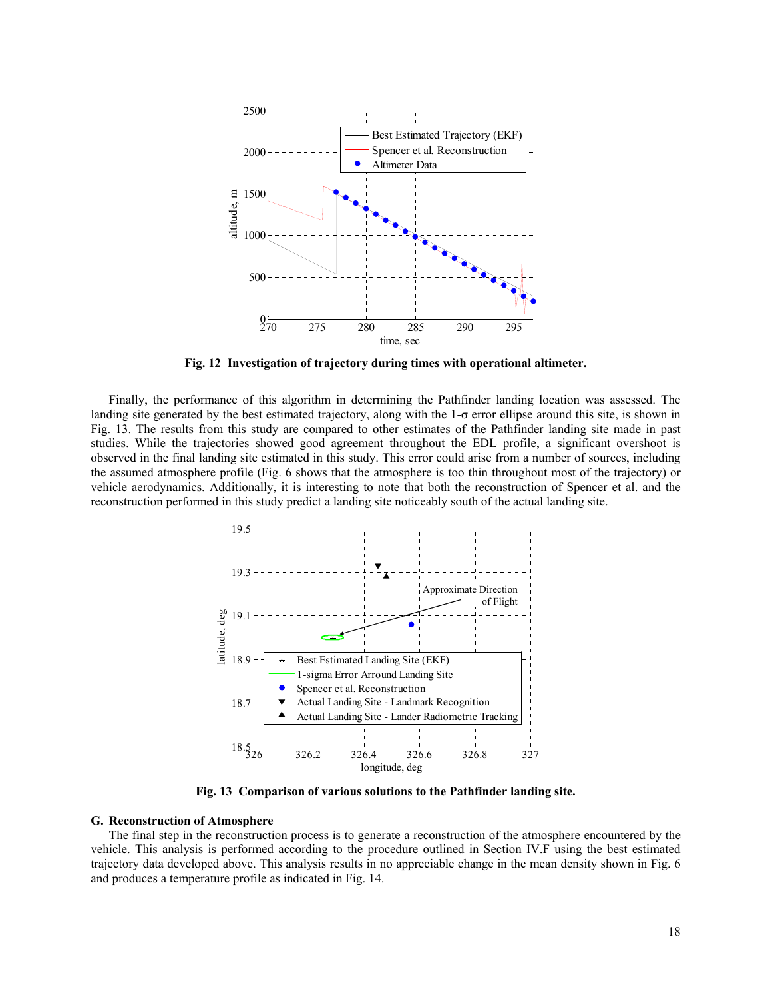

**Fig. 12 Investigation of trajectory during times with operational altimeter.** 

<span id="page-17-0"></span>Finally, the performance of this algorithm in determining the Pathfinder landing location was assessed. The landing site generated by the best estimated trajectory, along with the 1-σ error ellipse around this site, is shown in [Fig. 13.](#page-17-1) The results from this study are compared to other estimates of the Pathfinder landing site made in past studies. While the trajectories showed good agreement throughout the EDL profile, a significant overshoot is observed in the final landing site estimated in this study. This error could arise from a number of sources, including the assumed atmosphere profile [\(Fig. 6](#page-13-0) shows that the atmosphere is too thin throughout most of the trajectory) or vehicle aerodynamics. Additionally, it is interesting to note that both the reconstruction of Spencer et al. and the reconstruction performed in this study predict a landing site noticeably south of the actual landing site.



**Fig. 13 Comparison of various solutions to the Pathfinder landing site.** 

## <span id="page-17-1"></span>**G. Reconstruction of Atmosphere**

The final step in the reconstruction process is to generate a reconstruction of the atmosphere encountered by the vehicle. This analysis is performed according to the procedure outlined in Section [IV](#page-6-1).[F](#page-8-3) using the best estimated trajectory data developed above. This analysis results in no appreciable change in the mean density shown in [Fig. 6](#page-13-0) and produces a temperature profile as indicated in [Fig. 14.](#page-18-1)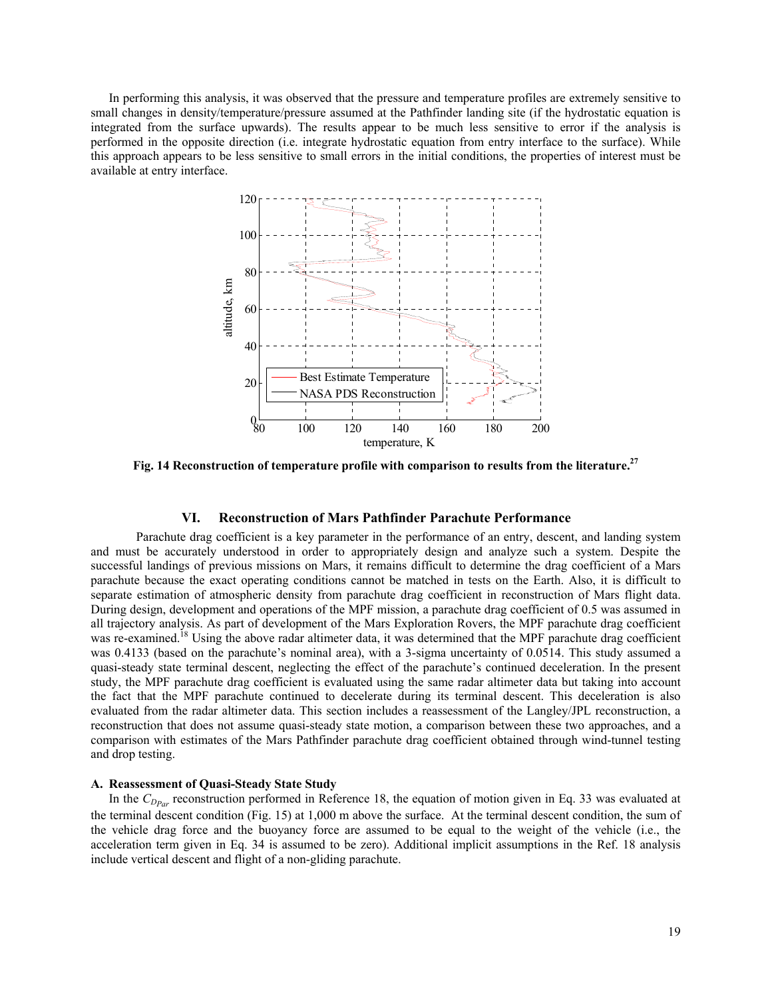In performing this analysis, it was observed that the pressure and temperature profiles are extremely sensitive to small changes in density/temperature/pressure assumed at the Pathfinder landing site (if the hydrostatic equation is integrated from the surface upwards). The results appear to be much less sensitive to error if the analysis is performed in the opposite direction (i.e. integrate hydrostatic equation from entry interface to the surface). While this approach appears to be less sensitive to small errors in the initial conditions, the properties of interest must be available at entry interface.



**Fig. 14 Reconstruction of temperature profile with comparison to results from the literature.[27](#page-25-2)**

# **VI. Reconstruction of Mars Pathfinder Parachute Performance**

<span id="page-18-1"></span><span id="page-18-0"></span> Parachute drag coefficient is a key parameter in the performance of an entry, descent, and landing system and must be accurately understood in order to appropriately design and analyze such a system. Despite the successful landings of previous missions on Mars, it remains difficult to determine the drag coefficient of a Mars parachute because the exact operating conditions cannot be matched in tests on the Earth. Also, it is difficult to separate estimation of atmospheric density from parachute drag coefficient in reconstruction of Mars flight data. During design, development and operations of the MPF mission, a parachute drag coefficient of 0.5 was assumed in all trajectory analysis. As part of development of the Mars Exploration Rovers, the MPF parachute drag coefficient was re-examined.<sup>18</sup> Using the above radar altimeter data, it was determined that the MPF parachute drag coefficient was 0.4133 (based on the parachute's nominal area), with a 3-sigma uncertainty of 0.0514. This study assumed a quasi-steady state terminal descent, neglecting the effect of the parachute's continued deceleration. In the present study, the MPF parachute drag coefficient is evaluated using the same radar altimeter data but taking into account the fact that the MPF parachute continued to decelerate during its terminal descent. This deceleration is also evaluated from the radar altimeter data. This section includes a reassessment of the Langley/JPL reconstruction, a reconstruction that does not assume quasi-steady state motion, a comparison between these two approaches, and a comparison with estimates of the Mars Pathfinder parachute drag coefficient obtained through wind-tunnel testing and drop testing.

# **A. Reassessment of Quasi-Steady State Study**

In the *C<sub>DPar</sub>* reconstruction performed in Reference 18, the equation of motion given in Eq. 33 was evaluated at the terminal descent condition ([Fig. 15](#page-19-0)) at 1,000 m above the surface. At the terminal descent condition, the sum of the vehicle drag force and the buoyancy force are assumed to be equal to the weight of the vehicle (i.e., the acceleration term given in Eq. 34 is assumed to be zero). Additional implicit assumptions in the Ref. 18 analysis include vertical descent and flight of a non-gliding parachute.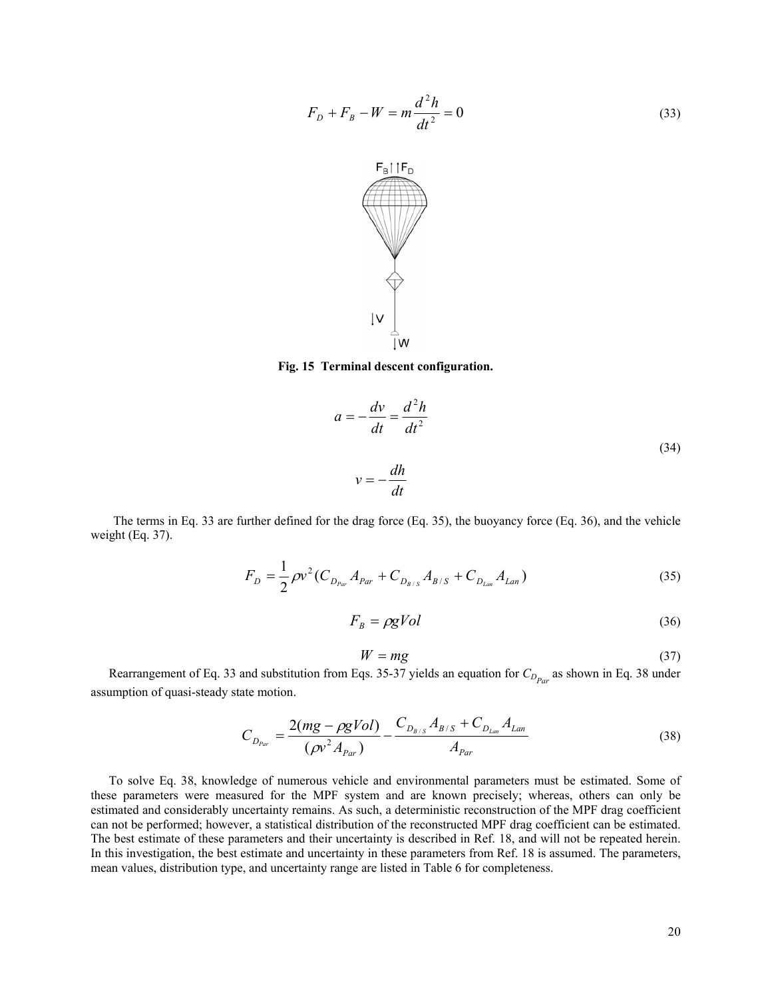$$
F_D + F_B - W = m \frac{d^2 h}{dt^2} = 0
$$
\n(33)

**Fig. 15 Terminal descent configuration.**

$$
a = -\frac{dv}{dt} = \frac{d^2h}{dt^2}
$$
  

$$
v = -\frac{dh}{dt}
$$
 (34)

<span id="page-19-0"></span>The terms in Eq. 33 are further defined for the drag force (Eq. 35), the buoyancy force (Eq. 36), and the vehicle weight (Eq. 37).

$$
F_D = \frac{1}{2} \rho v^2 (C_{D_{Par}} A_{Par} + C_{D_{B/S}} A_{B/S} + C_{D_{Lan}} A_{Lan})
$$
\n(35)

$$
F_B = \rho g Vol \tag{36}
$$

$$
W = mg \tag{37}
$$

Rearrangement of Eq. 33 and substitution from Eqs. 35-37 yields an equation for  $C_{D_{P_{\alpha r}}}$  as shown in Eq. 38 under assumption of quasi-steady state motion.

$$
C_{D_{Par}} = \frac{2(mg - \rho g Vol)}{(\rho v^2 A_{Par})} - \frac{C_{D_{B/S}} A_{B/S} + C_{D_{Lan}} A_{Lan}}{A_{Par}}
$$
(38)

 To solve Eq. 38, knowledge of numerous vehicle and environmental parameters must be estimated. Some of these parameters were measured for the MPF system and are known precisely; whereas, others can only be estimated and considerably uncertainty remains. As such, a deterministic reconstruction of the MPF drag coefficient can not be performed; however, a statistical distribution of the reconstructed MPF drag coefficient can be estimated. The best estimate of these parameters and their uncertainty is described in Ref. 18, and will not be repeated herein. In this investigation, the best estimate and uncertainty in these parameters from Ref. 18 is assumed. The parameters, mean values, distribution type, and uncertainty range are listed in [Table 6](#page-20-0) for completeness.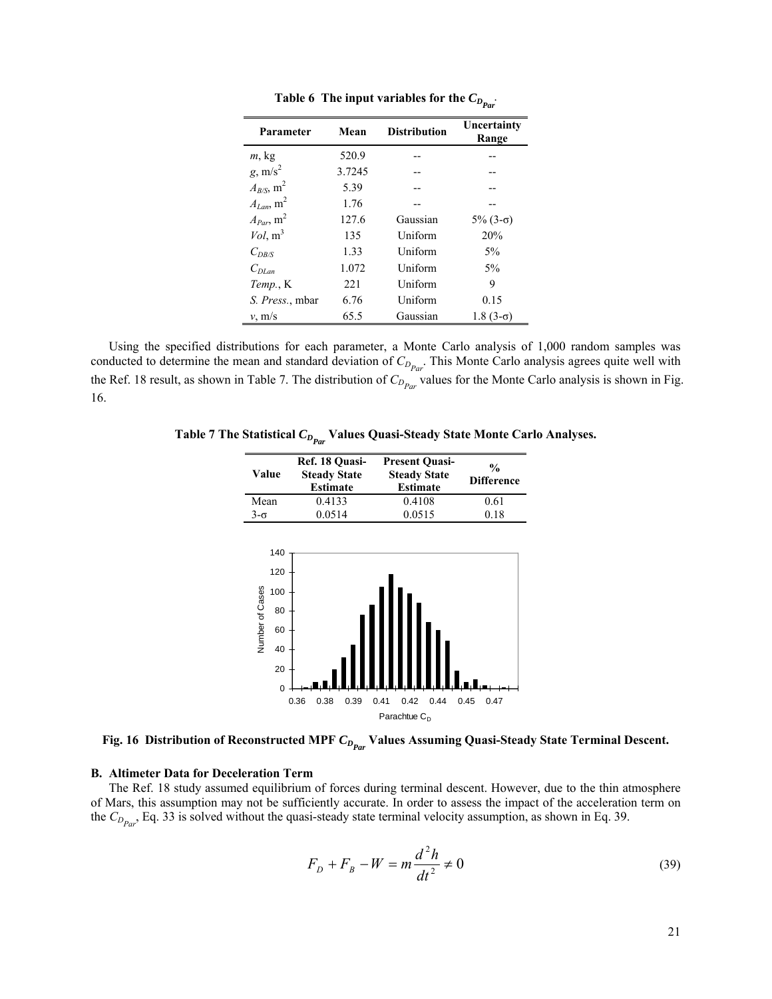<span id="page-20-0"></span>

| Parameter                  | Mean   | <b>Distribution</b> | Uncertainty<br>Range |
|----------------------------|--------|---------------------|----------------------|
| m, kg                      | 520.9  |                     |                      |
| g, m/s <sup>2</sup>        | 3.7245 |                     |                      |
| $A_{B/S}$ , m <sup>2</sup> | 5.39   |                     |                      |
| $A_{Lan}$ , m <sup>2</sup> | 1.76   |                     |                      |
| $A_{Par}$ , m <sup>2</sup> | 127.6  | Gaussian            | $5\%$ (3- $\sigma$ ) |
| $Vol, m^3$                 | 135    | Uniform             | 20%                  |
| $C_{DR/S}$                 | 1.33   | Uniform             | $5\%$                |
| $C_{DI,an}$                | 1.072  | Uniform             | $5\%$                |
| Temp., K                   | 221    | Uniform             | 9                    |
| S. Press., mbar            | 6.76   | Uniform             | 0.15                 |
| v, m/s                     | 65.5   | Gaussian            | $1.8(3-σ)$           |

Table 6 The input variables for the  $C_{D_{P,ar}}$ 

<span id="page-20-1"></span> Using the specified distributions for each parameter, a Monte Carlo analysis of 1,000 random samples was conducted to determine the mean and standard deviation of  $C_{D_{Par}}$ . This Monte Carlo analysis agrees quite well with the Ref. 18 result, as shown in [Table 7.](#page-20-1) The distribution of  $C_{D_{Par}}$  values for the Monte Carlo analysis is shown in Fig. [16](#page-20-2).

Table 7 The Statistical  $C_{D_{Par}}$  Values Quasi-Steady State Monte Carlo Analyses.



Fig. 16 Distribution of Reconstructed MPF  $C_{D_{par}}$  Values Assuming Quasi-Steady State Terminal Descent.

#### <span id="page-20-2"></span>**B. Altimeter Data for Deceleration Term**

 The Ref. 18 study assumed equilibrium of forces during terminal descent. However, due to the thin atmosphere of Mars, this assumption may not be sufficiently accurate. In order to assess the impact of the acceleration term on the  $C_{D_{p,q}}$ , Eq. 33 is solved without the quasi-steady state terminal velocity assumption, as shown in Eq. 39.

$$
F_D + F_B - W = m \frac{d^2 h}{dt^2} \neq 0
$$
\n(39)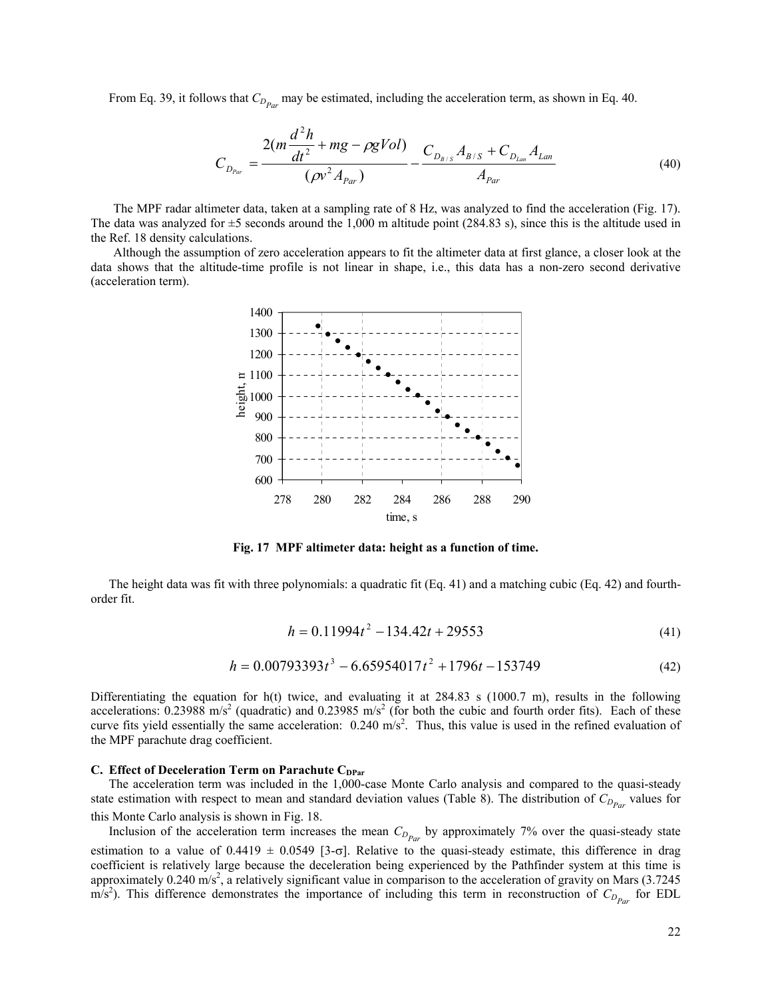From Eq. 39, it follows that  $C_{D_{P_{\alpha r}}}$  may be estimated, including the acceleration term, as shown in Eq. 40.

$$
C_{D_{Par}} = \frac{2(m\frac{d^2h}{dt^2} + mg - \rho g Vol)}{(\rho v^2 A_{Par})} - \frac{C_{D_{B/S}} A_{B/S} + C_{D_{Lan}} A_{Lan}}{A_{Par}}
$$
(40)

 The MPF radar altimeter data, taken at a sampling rate of 8 Hz, was analyzed to find the acceleration [\(Fig. 17](#page-21-0)). The data was analyzed for  $\pm 5$  seconds around the 1,000 m altitude point (284.83 s), since this is the altitude used in the Ref. 18 density calculations.

Although the assumption of zero acceleration appears to fit the altimeter data at first glance, a closer look at the data shows that the altitude-time profile is not linear in shape, i.e., this data has a non-zero second derivative (acceleration term).



**Fig. 17 MPF altimeter data: height as a function of time.**

<span id="page-21-0"></span> The height data was fit with three polynomials: a quadratic fit (Eq. 41) and a matching cubic (Eq. 42) and fourthorder fit.

$$
h = 0.11994t^2 - 134.42t + 29553\tag{41}
$$

$$
h = 0.00793393t^3 - 6.65954017t^2 + 1796t - 153749
$$
\n<sup>(42)</sup>

Differentiating the equation for h(t) twice, and evaluating it at 284.83 s (1000.7 m), results in the following accelerations:  $0.23988$  m/s<sup>2</sup> (quadratic) and  $0.23985$  m/s<sup>2</sup> (for both the cubic and fourth order fits). Each of these curve fits yield essentially the same acceleration:  $0.240 \text{ m/s}^2$ . Thus, this value is used in the refined evaluation of the MPF parachute drag coefficient.

## **C. Effect of Deceleration Term on Parachute C<sub>DPar</sub>**

 The acceleration term was included in the 1,000-case Monte Carlo analysis and compared to the quasi-steady state estimation with respect to mean and standard deviation values [\(Table 8](#page-22-0)). The distribution of  $C_{D_{p,qr}}$  values for this Monte Carlo analysis is shown in [Fig. 18](#page-22-1).

Inclusion of the acceleration term increases the mean  $C_{D_{Par}}$  by approximately 7% over the quasi-steady state

estimation to a value of  $0.4419 \pm 0.0549$  [3- $\sigma$ ]. Relative to the quasi-steady estimate, this difference in drag coefficient is relatively large because the deceleration being experienced by the Pathfinder system at this time is approximately 0.240 m/s<sup>2</sup>, a relatively significant value in comparison to the acceleration of gravity on Mars  $(3.7245)$  $\overline{m/s}^2$ ). This difference demonstrates the importance of including this term in reconstruction of  $C_{D_{Par}}$  for EDL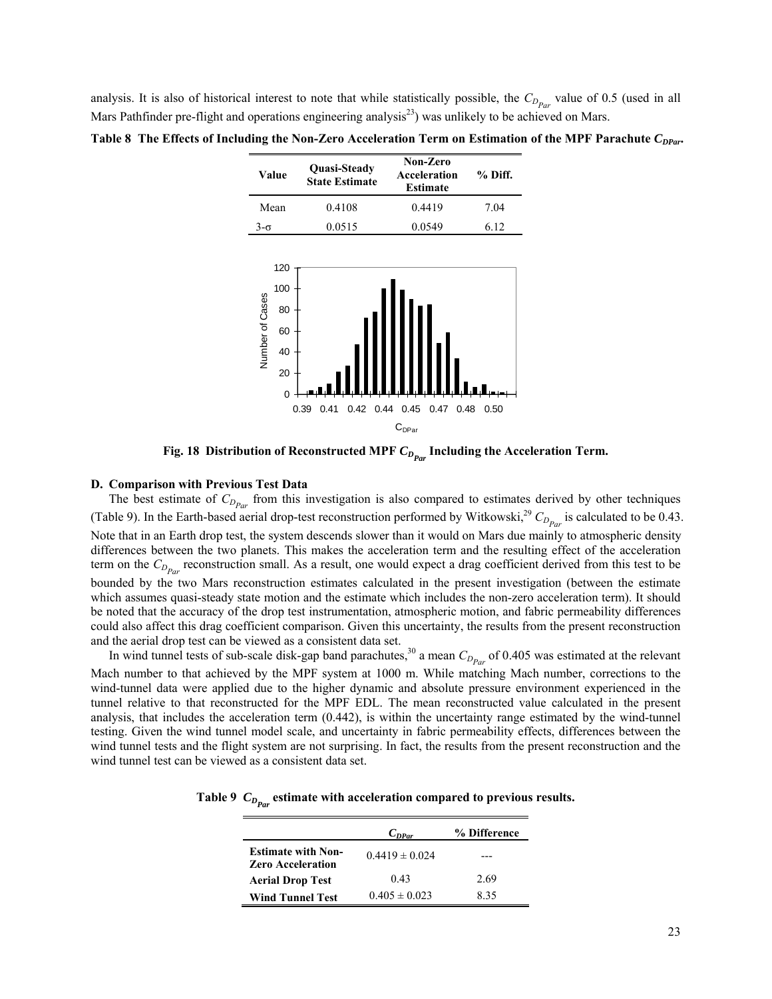analysis. It is also of historical interest to note that while statistically possible, the  $C_{D_{P\alpha r}}$  value of 0.5 (used in all Mars Pathfinder pre-flight and operations engineering analysis<sup>23</sup>) was unlikely to be achieved on Mars.

<span id="page-22-0"></span>Table 8 The Effects of Including the Non-Zero Acceleration Term on Estimation of the MPF Parachute  $C_{DPar}$ .

| Value | Quasi-Steady<br><b>State Estimate</b> | Non-Zero<br>Acceleration<br><b>Estimate</b> | $%$ Diff. |
|-------|---------------------------------------|---------------------------------------------|-----------|
| Mean  | 0.4108                                | 0.4419                                      | 7.04      |
| 3-0   | 0.0515                                | 0.0549                                      | 6 12      |



Fig. 18 Distribution of Reconstructed MPF  $C_{D_{Pax}}$  Including the Acceleration Term.

## <span id="page-22-1"></span>**D. Comparison with Previous Test Data**

The best estimate of  $C_{D_{Par}}$  from this investigation is also compared to estimates derived by other techniques [\(Table 9\)](#page-22-2). In the Earth-based aerial drop-test reconstruction performed by Witkowski,<sup>29</sup>  $C_{D_{P\alpha r}}$  is calculated to be 0.43. Note that in an Earth drop test, the system descends slower than it would on Mars due mainly to atmospheric density differences between the two planets. This makes the acceleration term and the resulting effect of the acceleration term on the  $C_{D_{P\alpha r}}$  reconstruction small. As a result, one would expect a drag coefficient derived from this test to be bounded by the two Mars reconstruction estimates calculated in the present investigation (between the estimate which assumes quasi-steady state motion and the estimate which includes the non-zero acceleration term). It should be noted that the accuracy of the drop test instrumentation, atmospheric motion, and fabric permeability differences could also affect this drag coefficient comparison. Given this uncertainty, the results from the present reconstruction and the aerial drop test can be viewed as a consistent data set.

<span id="page-22-2"></span>In wind tunnel tests of sub-scale disk-gap band parachutes,<sup>30</sup> a mean  $C_{D_{Par}}$  of 0.405 was estimated at the relevant Mach number to that achieved by the MPF system at 1000 m. While matching Mach number, corrections to the wind-tunnel data were applied due to the higher dynamic and absolute pressure environment experienced in the tunnel relative to that reconstructed for the MPF EDL. The mean reconstructed value calculated in the present analysis, that includes the acceleration term (0.442), is within the uncertainty range estimated by the wind-tunnel testing. Given the wind tunnel model scale, and uncertainty in fabric permeability effects, differences between the wind tunnel tests and the flight system are not surprising. In fact, the results from the present reconstruction and the wind tunnel test can be viewed as a consistent data set.

Table 9  $C_{D_{Par}}$  estimate with acceleration compared to previous results.

|                                                       | $C_{DPar}$         | % Difference |
|-------------------------------------------------------|--------------------|--------------|
| <b>Estimate with Non-</b><br><b>Zero Acceleration</b> | $0.4419 \pm 0.024$ |              |
| <b>Aerial Drop Test</b>                               | 0.43               | 2.69         |
| Wind Tunnel Test                                      | $0.405 \pm 0.023$  | 835          |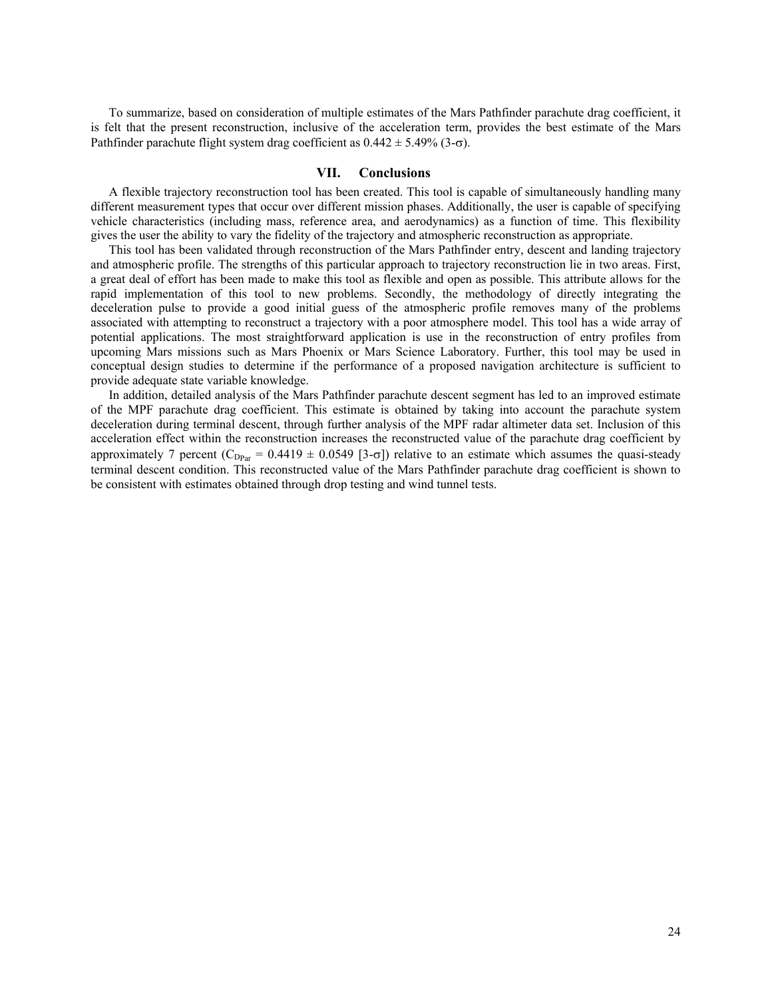To summarize, based on consideration of multiple estimates of the Mars Pathfinder parachute drag coefficient, it is felt that the present reconstruction, inclusive of the acceleration term, provides the best estimate of the Mars Pathfinder parachute flight system drag coefficient as  $0.442 \pm 5.49\%$  (3- $\sigma$ ).

## **VII. Conclusions**

A flexible trajectory reconstruction tool has been created. This tool is capable of simultaneously handling many different measurement types that occur over different mission phases. Additionally, the user is capable of specifying vehicle characteristics (including mass, reference area, and aerodynamics) as a function of time. This flexibility gives the user the ability to vary the fidelity of the trajectory and atmospheric reconstruction as appropriate.

This tool has been validated through reconstruction of the Mars Pathfinder entry, descent and landing trajectory and atmospheric profile. The strengths of this particular approach to trajectory reconstruction lie in two areas. First, a great deal of effort has been made to make this tool as flexible and open as possible. This attribute allows for the rapid implementation of this tool to new problems. Secondly, the methodology of directly integrating the deceleration pulse to provide a good initial guess of the atmospheric profile removes many of the problems associated with attempting to reconstruct a trajectory with a poor atmosphere model. This tool has a wide array of potential applications. The most straightforward application is use in the reconstruction of entry profiles from upcoming Mars missions such as Mars Phoenix or Mars Science Laboratory. Further, this tool may be used in conceptual design studies to determine if the performance of a proposed navigation architecture is sufficient to provide adequate state variable knowledge.

In addition, detailed analysis of the Mars Pathfinder parachute descent segment has led to an improved estimate of the MPF parachute drag coefficient. This estimate is obtained by taking into account the parachute system deceleration during terminal descent, through further analysis of the MPF radar altimeter data set. Inclusion of this acceleration effect within the reconstruction increases the reconstructed value of the parachute drag coefficient by approximately 7 percent ( $C_{DPar} = 0.4419 \pm 0.0549$  [3- $\sigma$ ]) relative to an estimate which assumes the quasi-steady terminal descent condition. This reconstructed value of the Mars Pathfinder parachute drag coefficient is shown to be consistent with estimates obtained through drop testing and wind tunnel tests.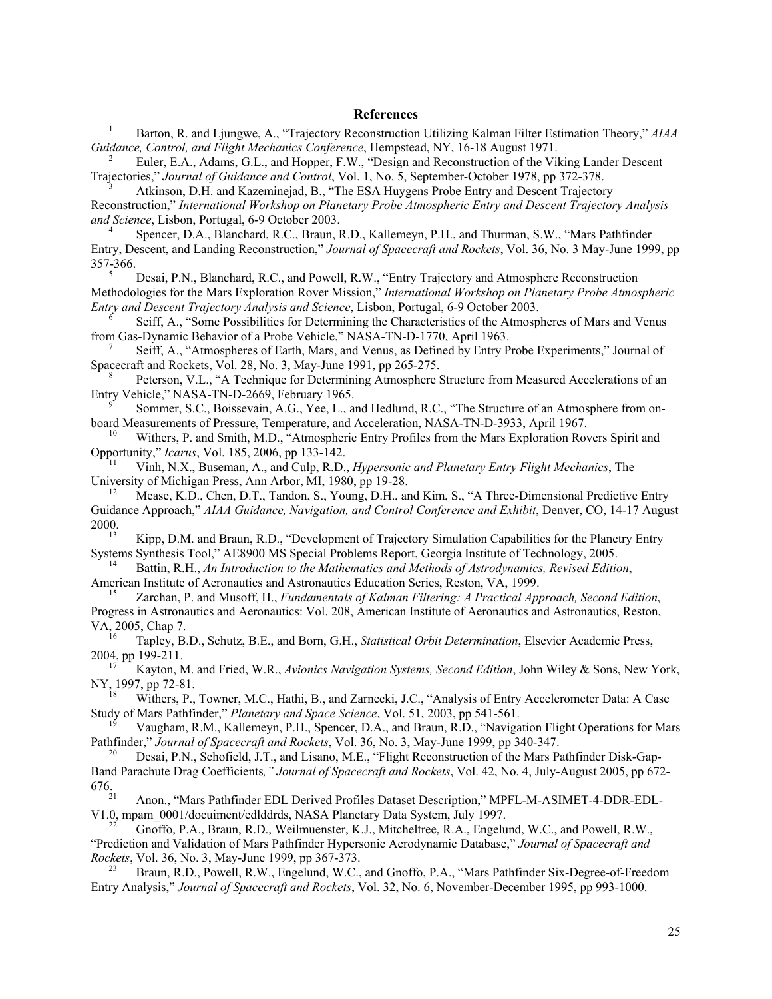## **References**

<span id="page-24-0"></span><sup>1</sup> Barton, R. and Ljungwe, A., "Trajectory Reconstruction Utilizing Kalman Filter Estimation Theory," AIAA *Guidance, Control, and Flight Mechanics Conference*, Hempstead, NY, 16-18 August 1971.<br><sup>2</sup> Euler, E.A., Adams, G.L., and Hopper, F.W., "Design and Reconstruction of the Viking Lander Descent

Trajectories," *Journal of Guidance and Control*, Vol. 1, No. 5, September-October 1978, pp 372-378. 3 Atkinson, D.H. and Kazeminejad, B., "The ESA Huygens Probe Entry and Descent Trajectory

Reconstruction," *International Workshop on Planetary Probe Atmospheric Entry and Descent Trajectory Analysis and Science*, Lisbon, Portugal, 6-9 October 2003.<br><sup>4</sup> Spencer, D.A., Blanchard, R.C., Braun, R.D., Kallemeyn, P.H., and Thurman, S.W., "Mars Pathfinder

<span id="page-24-4"></span>Entry, Descent, and Landing Reconstruction," *Journal of Spacecraft and Rockets*, Vol. 36, No. 3 May-June 1999, pp 357-366.<br><sup>5</sup> Desai, P.N., Blanchard, R.C., and Powell, R.W., "Entry Trajectory and Atmosphere Reconstruction

<span id="page-24-1"></span>Methodologies for the Mars Exploration Rover Mission," *International Workshop on Planetary Probe Atmospheric Entry and Descent Trajectory Analysis and Science*, Lisbon, Portugal, 6-9 October 2003.<br><sup>6</sup> Seiff, A., "Some Possibilities for Determining the Characteristics of the Atmospheres of Mars and Venus

<span id="page-24-2"></span>from Gas-Dynamic Behavior of a Probe Vehicle," NASA-TN-D-1770, April 1963. 7 Seiff, A., "Atmospheres of Earth, Mars, and Venus, as Defined by Entry Probe Experiments," Journal of

Spacecraft and Rockets, Vol. 28, No. 3, May-June 1991, pp 265-275.<br><sup>8</sup> Peterson, V.L., "A Technique for Determining Atmosphere Structure from Measured Accelerations of an

Entry Vehicle," NASA-TN-D-2669, February 1965.<br>
<sup>9</sup> Sommer, S.C., Boissevain, A.G., Yee, L., and Hedlund, R.C., "The Structure of an Atmosphere from on-<br>
board Measurements of Pressure, Temperature, and Acceleration, NASA-

<span id="page-24-3"></span>Withers, P. and Smith, M.D., "Atmospheric Entry Profiles from the Mars Exploration Rovers Spirit and Opportunity," *Icarus*, Vol. 185, 2006, pp 133-142.<br><sup>11</sup> Vinh, N.X., Buseman, A., and Culp, R.D., *Hypersonic and Planetary Entry Flight Mechanics*, The

<span id="page-24-5"></span>University of Michigan Press, Ann Arbor, MI, 1980, pp 19-28.<br><sup>12</sup> Mease, K.D., Chen, D.T., Tandon, S., Young, D.H., and Kim, S., "A Three-Dimensional Predictive Entry

Guidance Approach," *AIAA Guidance, Navigation, and Control Conference and Exhibit*, Denver, CO, 14-17 August 2000.<br><sup>13</sup> Kipp, D.M. and Braun, R.D., "Development of Trajectory Simulation Capabilities for the Planetry Entry

<span id="page-24-6"></span>Systems Synthesis Tool," AE8900 MS Special Problems Report, Georgia Institute of Technology, 2005. 14 Battin, R.H., *An Introduction to the Mathematics and Methods of Astrodynamics, Revised Edition*,

<span id="page-24-7"></span>American Institute of Aeronautics and Astronautics Education Series, Reston, VA, 1999.<br><sup>15</sup> Zarchan, P. and Musoff, H., *Fundamentals of Kalman Filtering: A Practical Approach, Second Edition*,

Progress in Astronautics and Aeronautics: Vol. 208, American Institute of Aeronautics and Astronautics, Reston, VA, 2005, Chap 7.<br><sup>16</sup> Tapley, B.D., Schutz, B.E., and Born, G.H., *Statistical Orbit Determination*, Elsevier Academic Press,

<span id="page-24-8"></span>2004, pp 199-211. 17 Kayton, M. and Fried, W.R., *Avionics Navigation Systems, Second Edition*, John Wiley & Sons, New York,

NY, 1997, pp 72-81.<br><sup>18</sup> Withers, P., Towner, M.C., Hathi, B., and Zarnecki, J.C., "Analysis of Entry Accelerometer Data: A Case

<span id="page-24-9"></span>Study of Mars Pathfinder," *Planetary and Space Science*, Vol. 51, 2003, pp 541-561. 19 Vaugham, R.M., Kallemeyn, P.H., Spencer, D.A., and Braun, R.D., "Navigation Flight Operations for Mars

<span id="page-24-13"></span>Pathfinder," *Journal of Spacecraft and Rockets*, Vol. 36, No. 3, May-June 1999, pp 340-347.<br><sup>20</sup> Desai, P.N., Schofield, J.T., and Lisano, M.E., "Flight Reconstruction of the Mars Pathfinder Disk-Gap-

<span id="page-24-12"></span>Band Parachute Drag Coefficients*," Journal of Spacecraft and Rockets*, Vol. 42, No. 4, July-August 2005, pp 672- 676. 21 Anon., "Mars Pathfinder EDL Derived Profiles Dataset Description," MPFL-M-ASIMET-4-DDR-EDL-

<span id="page-24-11"></span>V1.0, mpam\_0001/docuiment/edlddrds, NASA Planetary Data System, July 1997.<br><sup>22</sup> Gnoffo, P.A., Braun, R.D., Weilmuenster, K.J., Mitcheltree, R.A., Engelund, W.C., and Powell, R.W.,

<span id="page-24-10"></span>"Prediction and Validation of Mars Pathfinder Hypersonic Aerodynamic Database," *Journal of Spacecraft and Rockets*, Vol. 36, No. 3, May-June 1999, pp 367-373.<br><sup>23</sup> Braun, R.D., Powell, R.W., Engelund, W.C., and Gnoffo, P.A., "Mars Pathfinder Six-Degree-of-Freedom

<span id="page-24-14"></span>Entry Analysis," *Journal of Spacecraft and Rockets*, Vol. 32, No. 6, November-December 1995, pp 993-1000.